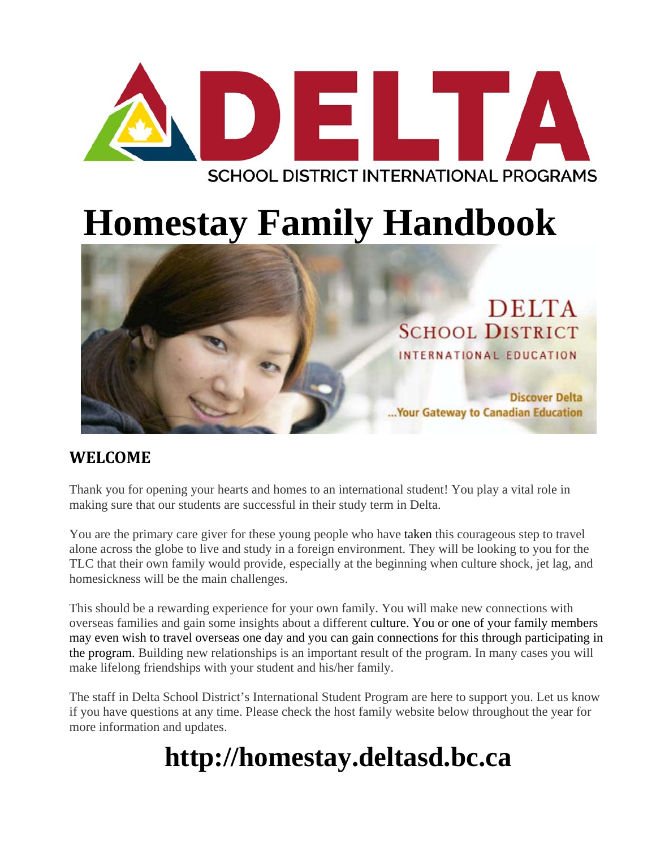

# **Homestay Family Handbook**



## **WELCOME**

Thank you for opening your hearts and homes to an international student! You play a vital role in making sure that our students are successful in their study term in Delta.

You are the primary care giver for these young people who have taken this courageous step to travel alone across the globe to live and study in a foreign environment. They will be looking to you for the TLC that their own family would provide, especially at the beginning when culture shock, jet lag, and homesickness will be the main challenges.

This should be a rewarding experience for your own family. You will make new connections with overseas families and gain some insights about a different culture. You or one of your family members may even wish to travel overseas one day and you can gain connections for this through participating in the program. Building new relationships is an important result of the program. In many cases you will make lifelong friendships with your student and his/her family.

The staff in Delta School District's International Student Program are here to support you. Let us know if you have questions at any time. Please check the host family website below throughout the year for more information and updates.

# **http://homestay.deltasd.bc.ca**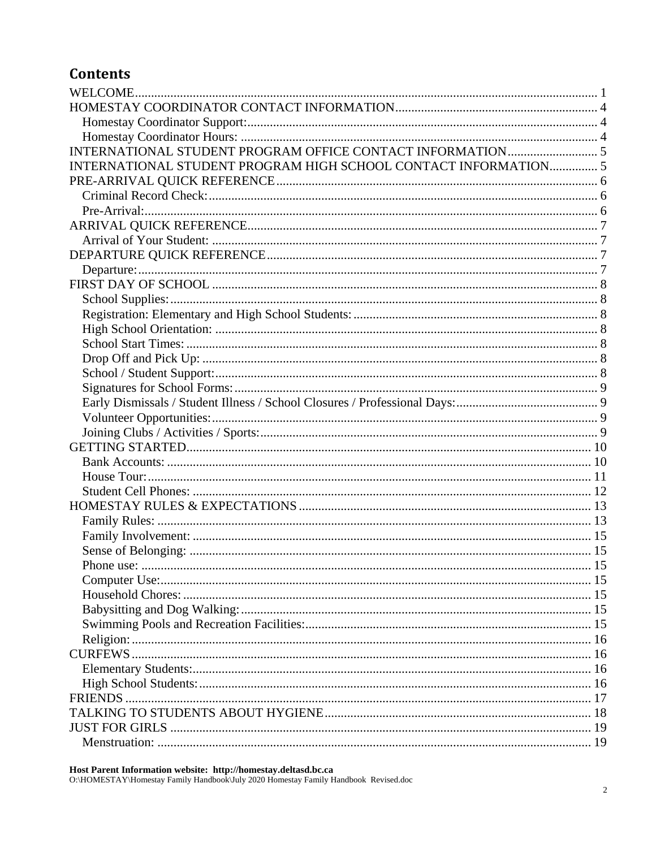## **Contents**

| INTERNATIONAL STUDENT PROGRAM HIGH SCHOOL CONTACT INFORMATION 5 |  |
|-----------------------------------------------------------------|--|
|                                                                 |  |
|                                                                 |  |
|                                                                 |  |
|                                                                 |  |
|                                                                 |  |
|                                                                 |  |
|                                                                 |  |
|                                                                 |  |
|                                                                 |  |
|                                                                 |  |
|                                                                 |  |
|                                                                 |  |
|                                                                 |  |
|                                                                 |  |
|                                                                 |  |
|                                                                 |  |
|                                                                 |  |
|                                                                 |  |
|                                                                 |  |
|                                                                 |  |
|                                                                 |  |
|                                                                 |  |
|                                                                 |  |
|                                                                 |  |
|                                                                 |  |
|                                                                 |  |
|                                                                 |  |
|                                                                 |  |
|                                                                 |  |
|                                                                 |  |
|                                                                 |  |
|                                                                 |  |
|                                                                 |  |
|                                                                 |  |
|                                                                 |  |
|                                                                 |  |
|                                                                 |  |
|                                                                 |  |
|                                                                 |  |

 ${\bf Host Parent Information website: \ http://homestay.deltas d.bc.ca} \\ {\tt O:\HOMESTAY\Homestay Family Handbook\July 2020 Homestay Family Handbook Review}.$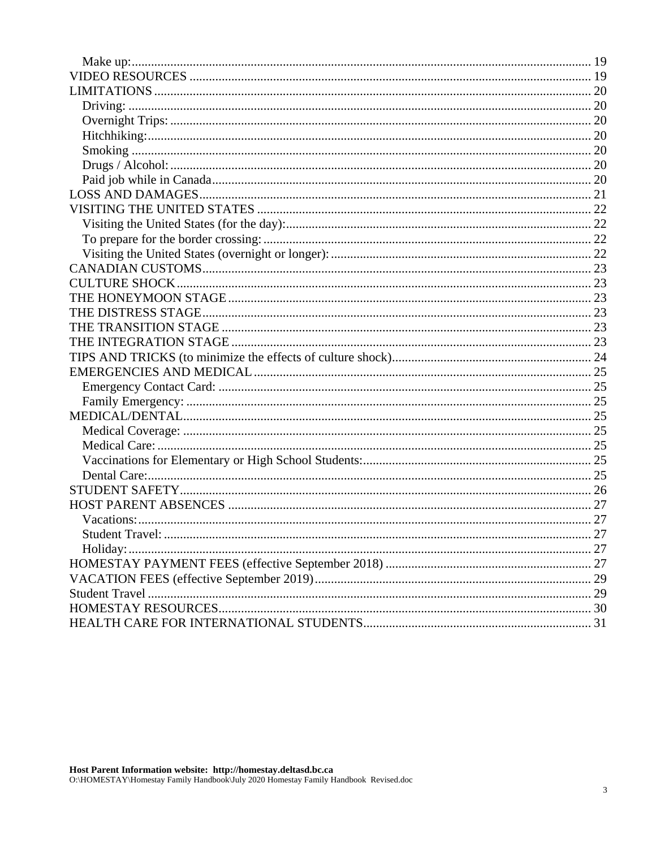| Holiday: |  |
|----------|--|
|          |  |
|          |  |
|          |  |
|          |  |
|          |  |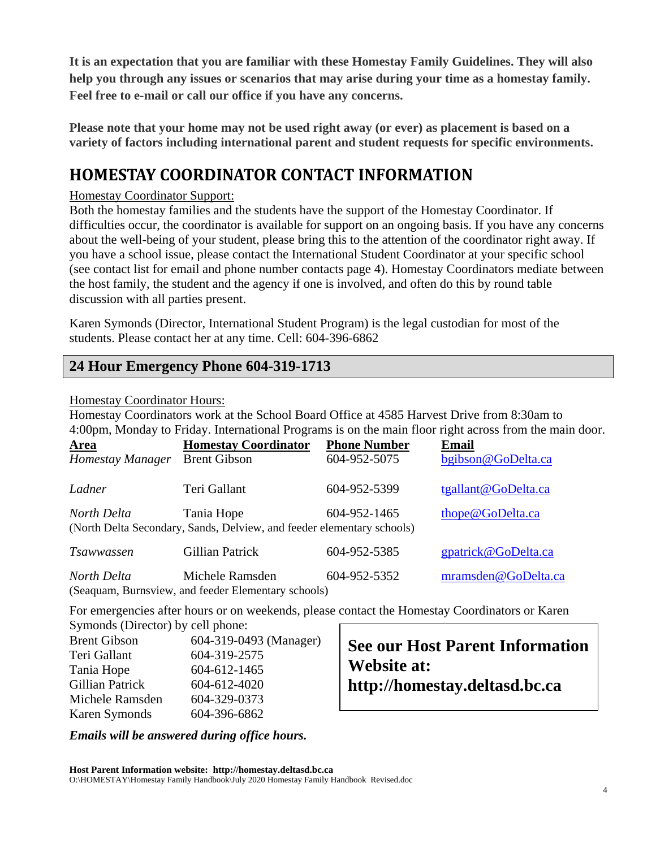**It is an expectation that you are familiar with these Homestay Family Guidelines. They will also help you through any issues or scenarios that may arise during your time as a homestay family. Feel free to e-mail or call our office if you have any concerns.** 

**Please note that your home may not be used right away (or ever) as placement is based on a variety of factors including international parent and student requests for specific environments.** 

## **HOMESTAY COORDINATOR CONTACT INFORMATION**

#### Homestay Coordinator Support:

Both the homestay families and the students have the support of the Homestay Coordinator. If difficulties occur, the coordinator is available for support on an ongoing basis. If you have any concerns about the well-being of your student, please bring this to the attention of the coordinator right away. If you have a school issue, please contact the International Student Coordinator at your specific school (see contact list for email and phone number contacts page 4). Homestay Coordinators mediate between the host family, the student and the agency if one is involved, and often do this by round table discussion with all parties present.

Karen Symonds (Director, International Student Program) is the legal custodian for most of the students. Please contact her at any time. Cell: 604-396-6862

### **24 Hour Emergency Phone 604-319-1713**

#### Homestay Coordinator Hours:

Homestay Coordinators work at the School Board Office at 4585 Harvest Drive from 8:30am to 4:00pm, Monday to Friday. International Programs is on the main floor right across from the main door.

| <b>Area</b>       | <b>Homestay Coordinator</b>                                                          | <b>Phone Number</b> | <b>Email</b>        |
|-------------------|--------------------------------------------------------------------------------------|---------------------|---------------------|
| Homestay Manager  | <b>Brent Gibson</b>                                                                  | 604-952-5075        | bgibson@GoDelta.ca  |
| Ladner            | Teri Gallant                                                                         | 604-952-5399        | tgallant@GoDelta.ca |
| North Delta       | Tania Hope<br>(North Delta Secondary, Sands, Delview, and feeder elementary schools) | 604-952-1465        | thope@GoDelta.ca    |
| <i>Tsawwassen</i> | <b>Gillian Patrick</b>                                                               | 604-952-5385        | gpatrick@GoDelta.ca |
| North Delta       | Michele Ramsden<br>(Seaquam, Burnsview, and feeder Elementary schools)               | 604-952-5352        | mramsden@GoDelta.ca |

For emergencies after hours or on weekends, please contact the Homestay Coordinators or Karen Symonds (Director) by cell phone:

| <b>Brent Gibson</b> | 604-319-0493 (Manager) |
|---------------------|------------------------|
| Teri Gallant        | 604-319-2575           |
| Tania Hope          | 604-612-1465           |
| Gillian Patrick     | 604-612-4020           |
| Michele Ramsden     | 604-329-0373           |
| Karen Symonds       | 604-396-6862           |
|                     |                        |

*Emails will be answered during office hours.* 

**See our Host Parent Information Website at: http://homestay.deltasd.bc.ca**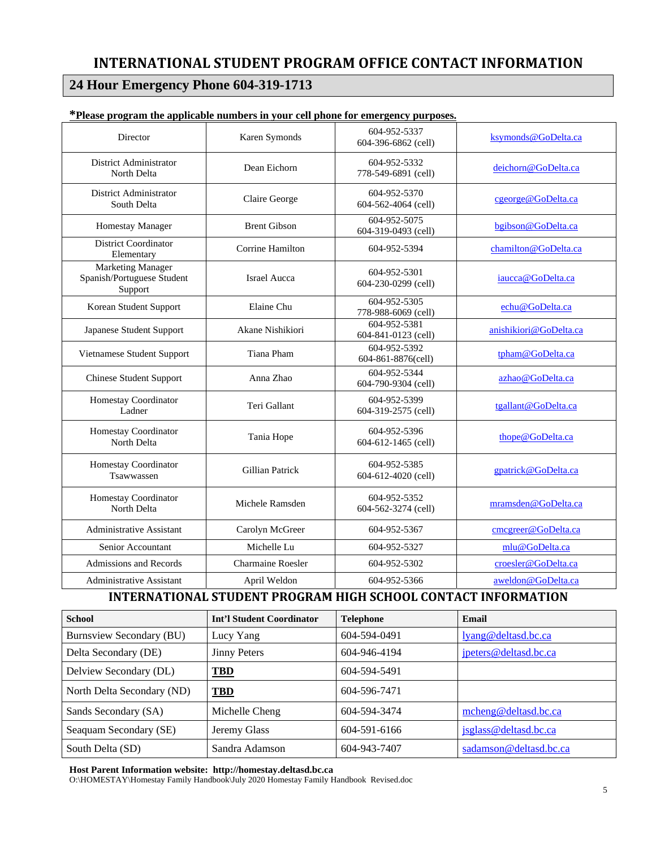### **INTERNATIONAL STUDENT PROGRAM OFFICE CONTACT INFORMATION**

### **24 Hour Emergency Phone 604-319-1713**

| Director                                                          | Karen Symonds            | 604-952-5337<br>604-396-6862 (cell) | ksymonds@GoDelta.ca    |
|-------------------------------------------------------------------|--------------------------|-------------------------------------|------------------------|
| District Administrator<br>North Delta                             | Dean Eichorn             | 604-952-5332<br>778-549-6891 (cell) | deichorn@GoDelta.ca    |
| District Administrator<br>South Delta                             | Claire George            | 604-952-5370<br>604-562-4064 (cell) | cgeorge@GoDelta.ca     |
| Homestay Manager                                                  | <b>Brent Gibson</b>      | 604-952-5075<br>604-319-0493 (cell) | bgibson@GoDelta.ca     |
| <b>District Coordinator</b><br>Elementary                         | Corrine Hamilton         | 604-952-5394                        | chamilton@GoDelta.ca   |
| <b>Marketing Manager</b><br>Spanish/Portuguese Student<br>Support | <b>Israel Aucca</b>      | 604-952-5301<br>604-230-0299 (cell) | iaucca@GoDelta.ca      |
| Korean Student Support                                            | Elaine Chu               | 604-952-5305<br>778-988-6069 (cell) | echu@GoDelta.ca        |
| Japanese Student Support                                          | Akane Nishikiori         | 604-952-5381<br>604-841-0123 (cell) | anishikiori@GoDelta.ca |
| Vietnamese Student Support                                        | <b>Tiana Pham</b>        | 604-952-5392<br>604-861-8876(cell)  | tpham@GoDelta.ca       |
| <b>Chinese Student Support</b>                                    | Anna Zhao                | 604-952-5344<br>604-790-9304 (cell) | azhao@GoDelta.ca       |
| Homestay Coordinator<br>Ladner                                    | Teri Gallant             | 604-952-5399<br>604-319-2575 (cell) | tgallant@GoDelta.ca    |
| Homestay Coordinator<br>North Delta                               | Tania Hope               | 604-952-5396<br>604-612-1465 (cell) | thope@GoDelta.ca       |
| Homestay Coordinator<br>Tsawwassen                                | <b>Gillian Patrick</b>   | 604-952-5385<br>604-612-4020 (cell) | gpatrick@GoDelta.ca    |
| Homestay Coordinator<br>North Delta                               | Michele Ramsden          | 604-952-5352<br>604-562-3274 (cell) | mramsden@GoDelta.ca    |
| Administrative Assistant                                          | Carolyn McGreer          | 604-952-5367                        | cmcgreer@GoDelta.ca    |
| Senior Accountant                                                 | Michelle Lu              | 604-952-5327                        | mlu@GoDelta.ca         |
| <b>Admissions and Records</b>                                     | <b>Charmaine Roesler</b> | 604-952-5302                        | croesler@GoDelta.ca    |
| <b>Administrative Assistant</b>                                   | April Weldon             | 604-952-5366                        | aweldon@GoDelta.ca     |

#### **\*Please program the applicable numbers in your cell phone for emergency purposes.**

#### **INTERNATIONAL STUDENT PROGRAM HIGH SCHOOL CONTACT INFORMATION**

| <b>School</b>              | <b>Int'l Student Coordinator</b> | <b>Telephone</b> | Email                  |
|----------------------------|----------------------------------|------------------|------------------------|
| Burnsview Secondary (BU)   | Lucy Yang                        | 604-594-0491     | lyang@deltasd.bc.ca    |
| Delta Secondary (DE)       | <b>Jinny Peters</b>              | 604-946-4194     | jpeters@deltasd.bc.ca  |
| Delview Secondary (DL)     | <b>TBD</b>                       | 604-594-5491     |                        |
| North Delta Secondary (ND) | <b>TBD</b>                       | 604-596-7471     |                        |
| Sands Secondary (SA)       | Michelle Cheng                   | 604-594-3474     | mcheng@deltasd.bc.ca   |
| Seaquam Secondary (SE)     | Jeremy Glass                     | 604-591-6166     | jsglass@deltasd.bc.ca  |
| South Delta (SD)           | Sandra Adamson                   | 604-943-7407     | sadamson@deltasd.bc.ca |

**Host Parent Information website: http://homestay.deltasd.bc.ca** 

O:\HOMESTAY\Homestay Family Handbook\July 2020 Homestay Family Handbook Revised.doc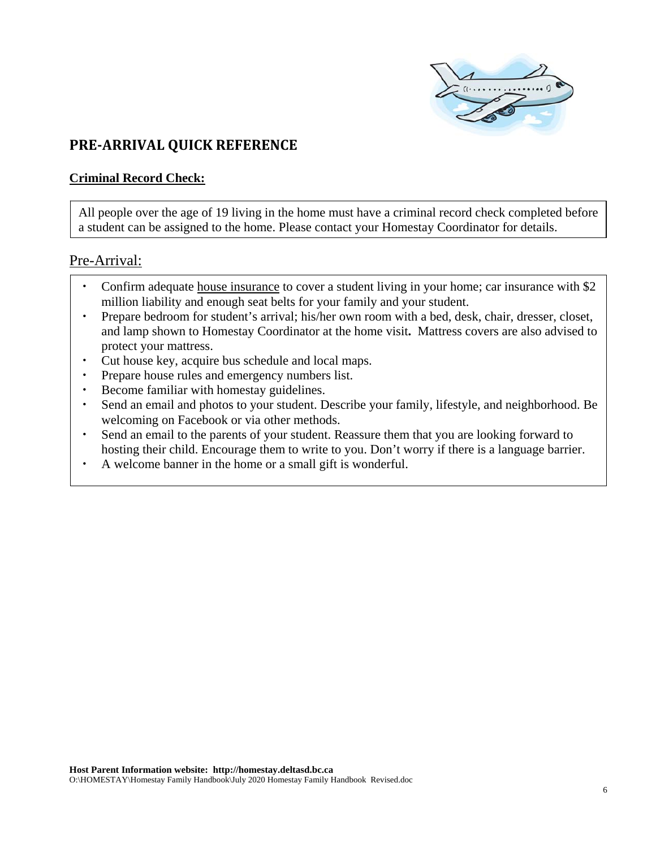

### **PRE‐ARRIVAL QUICK REFERENCE**

#### **Criminal Record Check:**

All people over the age of 19 living in the home must have a criminal record check completed before a student can be assigned to the home. Please contact your Homestay Coordinator for details.

#### Pre-Arrival:

- Confirm adequate house insurance to cover a student living in your home; car insurance with \$2 million liability and enough seat belts for your family and your student.
- Prepare bedroom for student's arrival; his/her own room with a bed, desk, chair, dresser, closet, and lamp shown to Homestay Coordinator at the home visit**.** Mattress covers are also advised to protect your mattress.
- Cut house key, acquire bus schedule and local maps.
- Prepare house rules and emergency numbers list.
- Become familiar with homestay guidelines.
- Send an email and photos to your student. Describe your family, lifestyle, and neighborhood. Be welcoming on Facebook or via other methods.
- Send an email to the parents of your student. Reassure them that you are looking forward to hosting their child. Encourage them to write to you. Don't worry if there is a language barrier.
- A welcome banner in the home or a small gift is wonderful.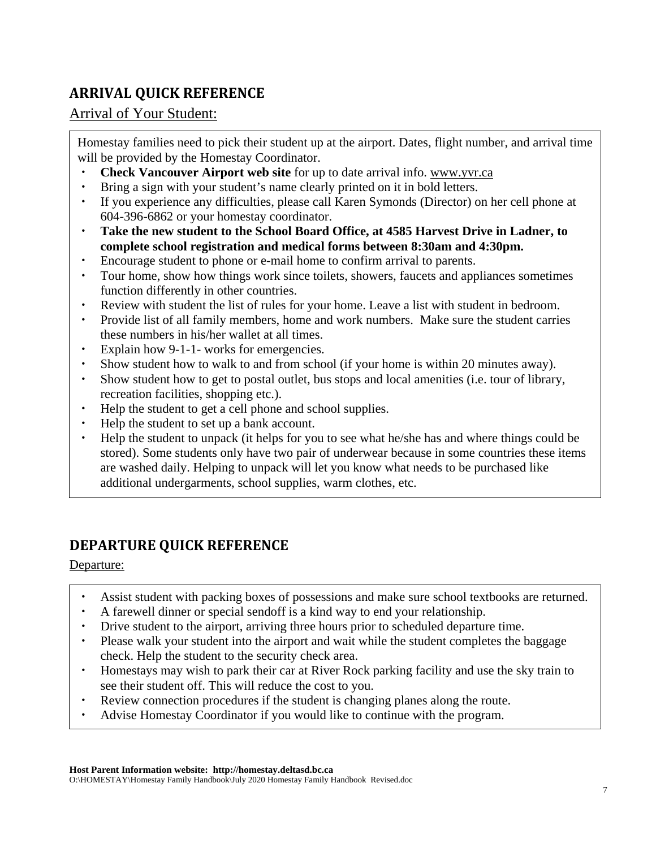## **ARRIVAL QUICK REFERENCE**

### Arrival of Your Student:

Homestay families need to pick their student up at the airport. Dates, flight number, and arrival time will be provided by the Homestay Coordinator.

- **Check Vancouver Airport web site** for up to date arrival info. www.yvr.ca
- Bring a sign with your student's name clearly printed on it in bold letters.
- If you experience any difficulties, please call Karen Symonds (Director) on her cell phone at 604-396-6862 or your homestay coordinator.
- **Take the new student to the School Board Office, at 4585 Harvest Drive in Ladner, to complete school registration and medical forms between 8:30am and 4:30pm.**
- Encourage student to phone or e-mail home to confirm arrival to parents.
- Tour home, show how things work since toilets, showers, faucets and appliances sometimes function differently in other countries.
- Review with student the list of rules for your home. Leave a list with student in bedroom.
- Provide list of all family members, home and work numbers. Make sure the student carries these numbers in his/her wallet at all times.
- Explain how 9-1-1- works for emergencies.
- Show student how to walk to and from school (if your home is within 20 minutes away).
- Show student how to get to postal outlet, bus stops and local amenities (i.e. tour of library, recreation facilities, shopping etc.).
- Help the student to get a cell phone and school supplies.
- Help the student to set up a bank account.
- Help the student to unpack (it helps for you to see what he/she has and where things could be stored). Some students only have two pair of underwear because in some countries these items are washed daily. Helping to unpack will let you know what needs to be purchased like additional undergarments, school supplies, warm clothes, etc.

## **DEPARTURE QUICK REFERENCE**

#### Departure:

- Assist student with packing boxes of possessions and make sure school textbooks are returned.
- A farewell dinner or special sendoff is a kind way to end your relationship.
- Drive student to the airport, arriving three hours prior to scheduled departure time.
- Please walk your student into the airport and wait while the student completes the baggage check. Help the student to the security check area.
- Homestays may wish to park their car at River Rock parking facility and use the sky train to see their student off. This will reduce the cost to you.
- Review connection procedures if the student is changing planes along the route.
- Advise Homestay Coordinator if you would like to continue with the program.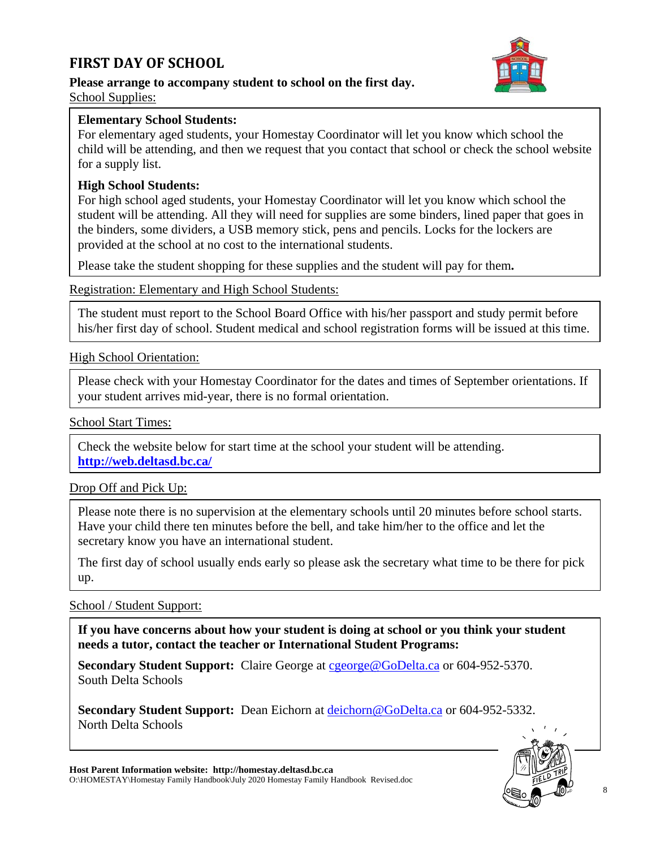## **FIRST DAY OF SCHOOL**

#### **Please arrange to accompany student to school on the first day.**  School Supplies:



#### **Elementary School Students:**

For elementary aged students, your Homestay Coordinator will let you know which school the child will be attending, and then we request that you contact that school or check the school website for a supply list.

#### **High School Students:**

For high school aged students, your Homestay Coordinator will let you know which school the student will be attending. All they will need for supplies are some binders, lined paper that goes in the binders, some dividers, a USB memory stick, pens and pencils. Locks for the lockers are provided at the school at no cost to the international students.

Please take the student shopping for these supplies and the student will pay for them**.** 

Registration: Elementary and High School Students:

The student must report to the School Board Office with his/her passport and study permit before his/her first day of school. Student medical and school registration forms will be issued at this time.

#### High School Orientation:

Please check with your Homestay Coordinator for the dates and times of September orientations. If your student arrives mid-year, there is no formal orientation.

#### School Start Times:

Check the website below for start time at the school your student will be attending. **http://web.deltasd.bc.ca/**

#### Drop Off and Pick Up:

Please note there is no supervision at the elementary schools until 20 minutes before school starts. Have your child there ten minutes before the bell, and take him/her to the office and let the secretary know you have an international student.

The first day of school usually ends early so please ask the secretary what time to be there for pick up.

#### School / Student Support:

**If you have concerns about how your student is doing at school or you think your student needs a tutor, contact the teacher or International Student Programs:** 

**Secondary Student Support:** Claire George at c**george@GoDelta.ca** or 604-952-5370. South Delta Schools

**Secondary Student Support:** Dean Eichorn at deichorn@GoDelta.ca or 604-952-5332. North Delta Schools

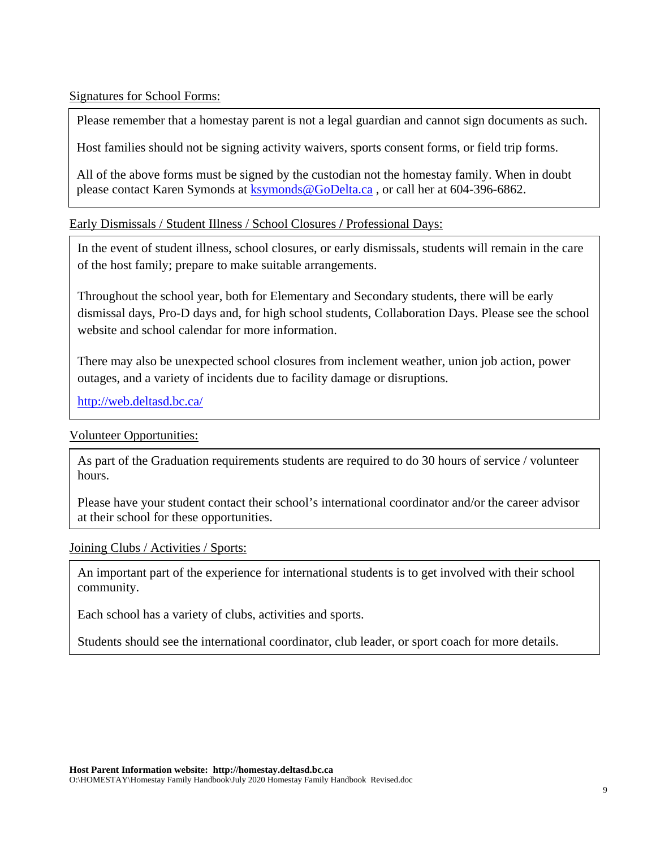#### Signatures for School Forms:

Please remember that a homestay parent is not a legal guardian and cannot sign documents as such.

Host families should not be signing activity waivers, sports consent forms, or field trip forms.

All of the above forms must be signed by the custodian not the homestay family. When in doubt please contact Karen Symonds at ksymonds@GoDelta.ca , or call her at 604-396-6862.

Early Dismissals / Student Illness / School Closures **/** Professional Days:

In the event of student illness, school closures, or early dismissals, students will remain in the care of the host family; prepare to make suitable arrangements.

Throughout the school year, both for Elementary and Secondary students, there will be early dismissal days, Pro-D days and, for high school students, Collaboration Days. Please see the school website and school calendar for more information.

There may also be unexpected school closures from inclement weather, union job action, power outages, and a variety of incidents due to facility damage or disruptions.

http://web.deltasd.bc.ca/

Volunteer Opportunities:

As part of the Graduation requirements students are required to do 30 hours of service / volunteer hours.

Please have your student contact their school's international coordinator and/or the career advisor at their school for these opportunities.

Joining Clubs / Activities / Sports:

An important part of the experience for international students is to get involved with their school community.

Each school has a variety of clubs, activities and sports.

Students should see the international coordinator, club leader, or sport coach for more details.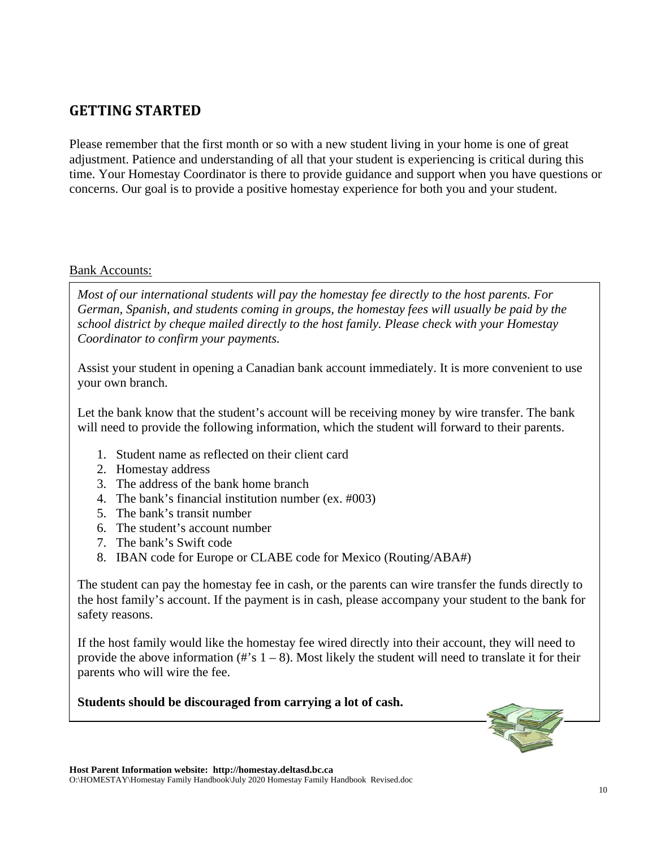### **GETTING STARTED**

Please remember that the first month or so with a new student living in your home is one of great adjustment. Patience and understanding of all that your student is experiencing is critical during this time. Your Homestay Coordinator is there to provide guidance and support when you have questions or concerns. Our goal is to provide a positive homestay experience for both you and your student.

#### Bank Accounts:

*Most of our international students will pay the homestay fee directly to the host parents. For German, Spanish, and students coming in groups, the homestay fees will usually be paid by the school district by cheque mailed directly to the host family. Please check with your Homestay Coordinator to confirm your payments.* 

Assist your student in opening a Canadian bank account immediately. It is more convenient to use your own branch.

Let the bank know that the student's account will be receiving money by wire transfer. The bank will need to provide the following information, which the student will forward to their parents.

- 1. Student name as reflected on their client card
- 2. Homestay address
- 3. The address of the bank home branch
- 4. The bank's financial institution number (ex. #003)
- 5. The bank's transit number
- 6. The student's account number
- 7. The bank's Swift code
- 8. IBAN code for Europe or CLABE code for Mexico (Routing/ABA#)

The student can pay the homestay fee in cash, or the parents can wire transfer the funds directly to the host family's account. If the payment is in cash, please accompany your student to the bank for safety reasons.

If the host family would like the homestay fee wired directly into their account, they will need to provide the above information (#'s  $1 - 8$ ). Most likely the student will need to translate it for their parents who will wire the fee.

#### **Students should be discouraged from carrying a lot of cash.**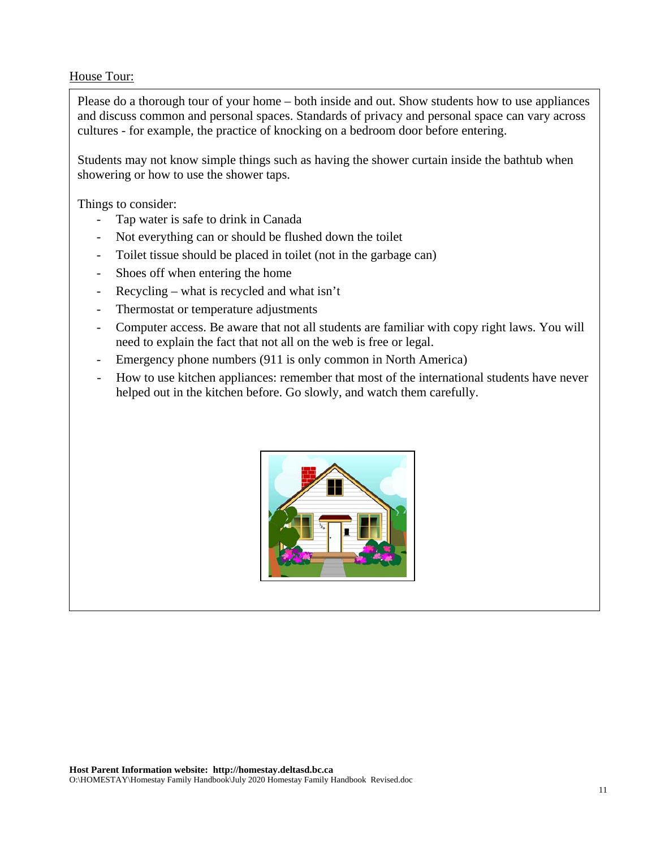House Tour:

Please do a thorough tour of your home – both inside and out. Show students how to use appliances and discuss common and personal spaces. Standards of privacy and personal space can vary across cultures - for example, the practice of knocking on a bedroom door before entering.

Students may not know simple things such as having the shower curtain inside the bathtub when showering or how to use the shower taps.

Things to consider:

- Tap water is safe to drink in Canada
- Not everything can or should be flushed down the toilet
- Toilet tissue should be placed in toilet (not in the garbage can)
- Shoes off when entering the home
- Recycling what is recycled and what isn't
- Thermostat or temperature adjustments
- Computer access. Be aware that not all students are familiar with copy right laws. You will need to explain the fact that not all on the web is free or legal.
- Emergency phone numbers (911 is only common in North America)
- How to use kitchen appliances: remember that most of the international students have never helped out in the kitchen before. Go slowly, and watch them carefully.

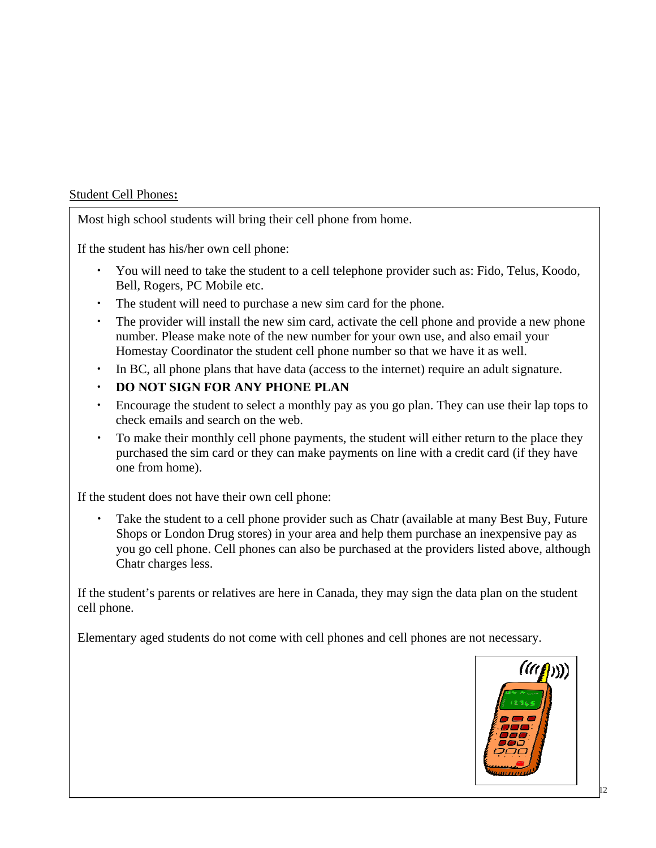#### Student Cell Phones**:**

Most high school students will bring their cell phone from home.

If the student has his/her own cell phone:

- You will need to take the student to a cell telephone provider such as: Fido, Telus, Koodo, Bell, Rogers, PC Mobile etc.
- The student will need to purchase a new sim card for the phone.
- The provider will install the new sim card, activate the cell phone and provide a new phone number. Please make note of the new number for your own use, and also email your Homestay Coordinator the student cell phone number so that we have it as well.
- In BC, all phone plans that have data (access to the internet) require an adult signature.
- **DO NOT SIGN FOR ANY PHONE PLAN**
- Encourage the student to select a monthly pay as you go plan. They can use their lap tops to check emails and search on the web.
- To make their monthly cell phone payments, the student will either return to the place they purchased the sim card or they can make payments on line with a credit card (if they have one from home).

If the student does not have their own cell phone:

**Host Parent Information website: http://homestay.deltasd.bc.ca** 

O:\HOMESTAY\Homestay Family Handbook\July 2020 Homestay Family Handbook Revised.doc

 Take the student to a cell phone provider such as Chatr (available at many Best Buy, Future Shops or London Drug stores) in your area and help them purchase an inexpensive pay as you go cell phone. Cell phones can also be purchased at the providers listed above, although Chatr charges less.

If the student's parents or relatives are here in Canada, they may sign the data plan on the student cell phone.

Elementary aged students do not come with cell phones and cell phones are not necessary.

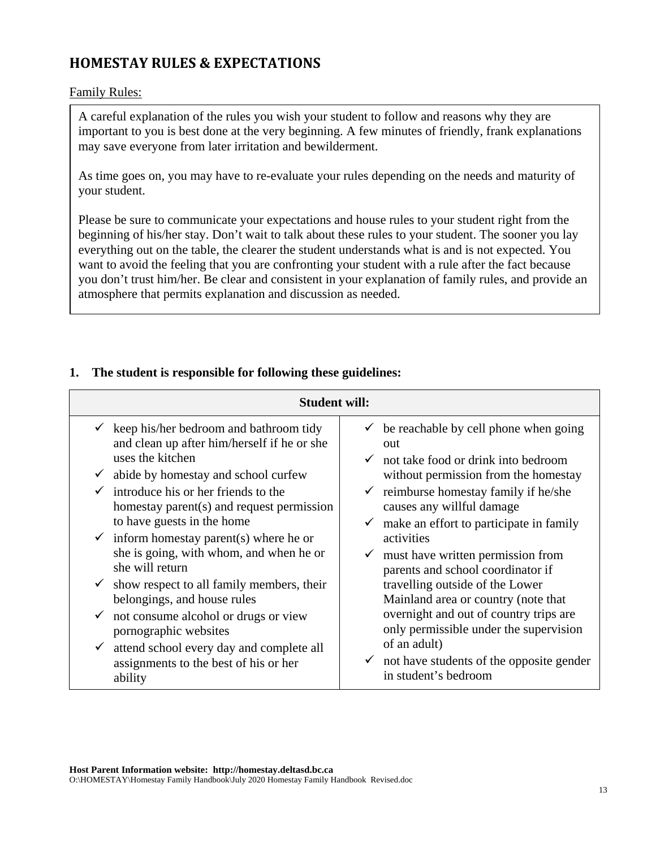### **HOMESTAY RULES & EXPECTATIONS**

#### Family Rules:

A careful explanation of the rules you wish your student to follow and reasons why they are important to you is best done at the very beginning. A few minutes of friendly, frank explanations may save everyone from later irritation and bewilderment.

As time goes on, you may have to re-evaluate your rules depending on the needs and maturity of your student.

Please be sure to communicate your expectations and house rules to your student right from the beginning of his/her stay. Don't wait to talk about these rules to your student. The sooner you lay everything out on the table, the clearer the student understands what is and is not expected. You want to avoid the feeling that you are confronting your student with a rule after the fact because you don't trust him/her. Be clear and consistent in your explanation of family rules, and provide an atmosphere that permits explanation and discussion as needed.

#### **1. The student is responsible for following these guidelines:**

| <b>Student will:</b>                                                                                                                                                               |                                                                                                                                                                                  |  |  |
|------------------------------------------------------------------------------------------------------------------------------------------------------------------------------------|----------------------------------------------------------------------------------------------------------------------------------------------------------------------------------|--|--|
| $\checkmark$ keep his/her bedroom and bathroom tidy<br>and clean up after him/herself if he or she<br>uses the kitchen                                                             | be reachable by cell phone when going<br>$\checkmark$<br>out<br>not take food or drink into bedroom<br>$\checkmark$                                                              |  |  |
| abide by homestay and school curfew<br>$\checkmark$<br>$\checkmark$ introduce his or her friends to the<br>homestay parent(s) and request permission<br>to have guests in the home | without permission from the homestay<br>$\checkmark$ reimburse homestay family if he/she<br>causes any willful damage<br>make an effort to participate in family<br>$\checkmark$ |  |  |
| $\checkmark$ inform homestay parent(s) where he or<br>she is going, with whom, and when he or<br>she will return                                                                   | activities<br>must have written permission from<br>$\checkmark$<br>parents and school coordinator if                                                                             |  |  |
| $\checkmark$ show respect to all family members, their<br>belongings, and house rules<br>not consume alcohol or drugs or view<br>✓<br>pornographic websites                        | travelling outside of the Lower<br>Mainland area or country (note that<br>overnight and out of country trips are<br>only permissible under the supervision                       |  |  |
| attend school every day and complete all<br>$\checkmark$<br>assignments to the best of his or her<br>ability                                                                       | of an adult)<br>not have students of the opposite gender<br>$\checkmark$<br>in student's bedroom                                                                                 |  |  |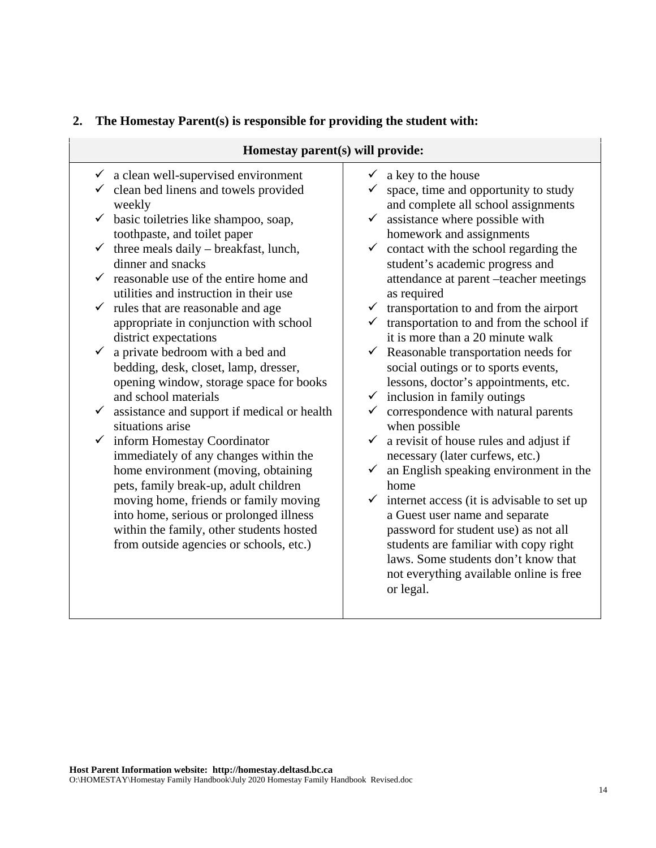| Homestay parent(s) will provide:                                                                                                                                                                                                                                                                                                                                                                                                                                                                                                                                                                                                                                                                                                                                                                                                                                                                                                                                                                                                                                                 |                                                                                                                                                                                                                                                                                                                                                                                                                                                                                                                                                                                                                                                                                                                                                                                                                                                                                                                                                                                                                                                                                                                                      |  |  |
|----------------------------------------------------------------------------------------------------------------------------------------------------------------------------------------------------------------------------------------------------------------------------------------------------------------------------------------------------------------------------------------------------------------------------------------------------------------------------------------------------------------------------------------------------------------------------------------------------------------------------------------------------------------------------------------------------------------------------------------------------------------------------------------------------------------------------------------------------------------------------------------------------------------------------------------------------------------------------------------------------------------------------------------------------------------------------------|--------------------------------------------------------------------------------------------------------------------------------------------------------------------------------------------------------------------------------------------------------------------------------------------------------------------------------------------------------------------------------------------------------------------------------------------------------------------------------------------------------------------------------------------------------------------------------------------------------------------------------------------------------------------------------------------------------------------------------------------------------------------------------------------------------------------------------------------------------------------------------------------------------------------------------------------------------------------------------------------------------------------------------------------------------------------------------------------------------------------------------------|--|--|
| $\checkmark$ a clean well-supervised environment<br>clean bed linens and towels provided<br>weekly<br>basic toiletries like shampoo, soap,<br>$\checkmark$<br>toothpaste, and toilet paper<br>three meals daily – breakfast, lunch,<br>✓<br>dinner and snacks<br>$\checkmark$ reasonable use of the entire home and<br>utilities and instruction in their use<br>rules that are reasonable and age<br>$\checkmark$<br>appropriate in conjunction with school<br>district expectations<br>$\checkmark$<br>a private bedroom with a bed and<br>bedding, desk, closet, lamp, dresser,<br>opening window, storage space for books<br>and school materials<br>assistance and support if medical or health<br>$\checkmark$<br>situations arise<br>inform Homestay Coordinator<br>✓<br>immediately of any changes within the<br>home environment (moving, obtaining<br>pets, family break-up, adult children<br>moving home, friends or family moving<br>into home, serious or prolonged illness<br>within the family, other students hosted<br>from outside agencies or schools, etc.) | a key to the house<br>space, time and opportunity to study<br>and complete all school assignments<br>assistance where possible with<br>$\checkmark$<br>homework and assignments<br>contact with the school regarding the<br>$\checkmark$<br>student's academic progress and<br>attendance at parent -teacher meetings<br>as required<br>transportation to and from the airport<br>$\checkmark$<br>transportation to and from the school if<br>it is more than a 20 minute walk<br>$\checkmark$ Reasonable transportation needs for<br>social outings or to sports events,<br>lessons, doctor's appointments, etc.<br>$\checkmark$ inclusion in family outings<br>correspondence with natural parents<br>when possible<br>a revisit of house rules and adjust if<br>$\checkmark$<br>necessary (later curfews, etc.)<br>an English speaking environment in the<br>home<br>internet access (it is advisable to set up<br>a Guest user name and separate<br>password for student use) as not all<br>students are familiar with copy right<br>laws. Some students don't know that<br>not everything available online is free<br>or legal. |  |  |

### **2. The Homestay Parent(s) is responsible for providing the student with:**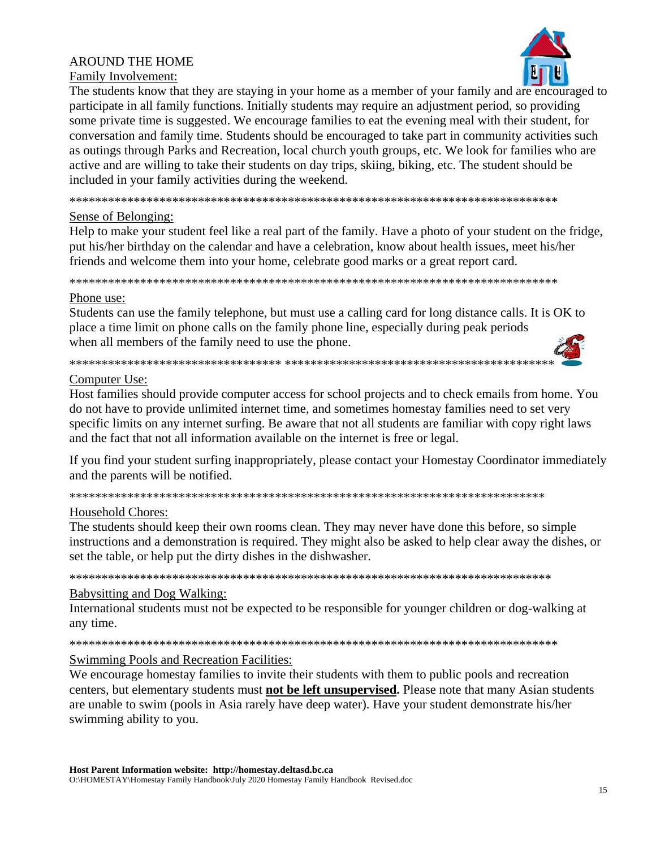## AROUND THE HOME



Family Involvement:

The students know that they are staying in your home as a member of your family and are encouraged to participate in all family functions. Initially students may require an adjustment period, so providing some private time is suggested. We encourage families to eat the evening meal with their student, for conversation and family time. Students should be encouraged to take part in community activities such as outings through Parks and Recreation, local church youth groups, etc. We look for families who are active and are willing to take their students on day trips, skiing, biking, etc. The student should be included in your family activities during the weekend.

\*\*\*\*\*\*\*\*\*\*\*\*\*\*\*\*\*\*\*\*\*\*\*\*\*\*\*\*\*\*\*\*\*\*\*\*\*\*\*\*\*\*\*\*\*\*\*\*\*\*\*\*\*\*\*\*\*\*\*\*\*\*\*\*\*\*\*\*\*\*\*\*\*\*\*\*

#### Sense of Belonging:

Help to make your student feel like a real part of the family. Have a photo of your student on the fridge, put his/her birthday on the calendar and have a celebration, know about health issues, meet his/her friends and welcome them into your home, celebrate good marks or a great report card.

\*\*\*\*\*\*\*\*\*\*\*\*\*\*\*\*\*\*\*\*\*\*\*\*\*\*\*\*\*\*\*\*\*\*\*\*\*\*\*\*\*\*\*\*\*\*\*\*\*\*\*\*\*\*\*\*\*\*\*\*\*\*\*\*\*\*\*\*\*\*\*\*\*\*\*\*

#### Phone use:

Students can use the family telephone, but must use a calling card for long distance calls. It is OK to place a time limit on phone calls on the family phone line, especially during peak periods when all members of the family need to use the phone.

\*\*\*\*\*\*\*\*\*\*\*\*\*\*\*\*\*\*\*\*\*\*\*\*\*\*\*\*\*\*\*\*\* \*\*\*\*\*\*\*\*\*\*\*\*\*\*\*\*\*\*\*\*\*\*\*\*\*\*\*\*\*\*\*\*\*\*\*\*\*\*\*\*\*\*

#### Computer Use:

Host families should provide computer access for school projects and to check emails from home. You do not have to provide unlimited internet time, and sometimes homestay families need to set very specific limits on any internet surfing. Be aware that not all students are familiar with copy right laws and the fact that not all information available on the internet is free or legal.

If you find your student surfing inappropriately, please contact your Homestay Coordinator immediately and the parents will be notified.

\*\*\*\*\*\*\*\*\*\*\*\*\*\*\*\*\*\*\*\*\*\*\*\*\*\*\*\*\*\*\*\*\*\*\*\*\*\*\*\*\*\*\*\*\*\*\*\*\*\*\*\*\*\*\*\*\*\*\*\*\*\*\*\*\*\*\*\*\*\*\*\*\*\*

#### Household Chores:

The students should keep their own rooms clean. They may never have done this before, so simple instructions and a demonstration is required. They might also be asked to help clear away the dishes, or set the table, or help put the dirty dishes in the dishwasher.

\*\*\*\*\*\*\*\*\*\*\*\*\*\*\*\*\*\*\*\*\*\*\*\*\*\*\*\*\*\*\*\*\*\*\*\*\*\*\*\*\*\*\*\*\*\*\*\*\*\*\*\*\*\*\*\*\*\*\*\*\*\*\*\*\*\*\*\*\*\*\*\*\*\*\*

#### Babysitting and Dog Walking:

International students must not be expected to be responsible for younger children or dog-walking at any time.

\*\*\*\*\*\*\*\*\*\*\*\*\*\*\*\*\*\*\*\*\*\*\*\*\*\*\*\*\*\*\*\*\*\*\*\*\*\*\*\*\*\*\*\*\*\*\*\*\*\*\*\*\*\*\*\*\*\*\*\*\*\*\*\*\*\*\*\*\*\*\*\*\*\*\*\*

Swimming Pools and Recreation Facilities:

We encourage homestay families to invite their students with them to public pools and recreation centers, but elementary students must **not be left unsupervised.** Please note that many Asian students are unable to swim (pools in Asia rarely have deep water). Have your student demonstrate his/her swimming ability to you.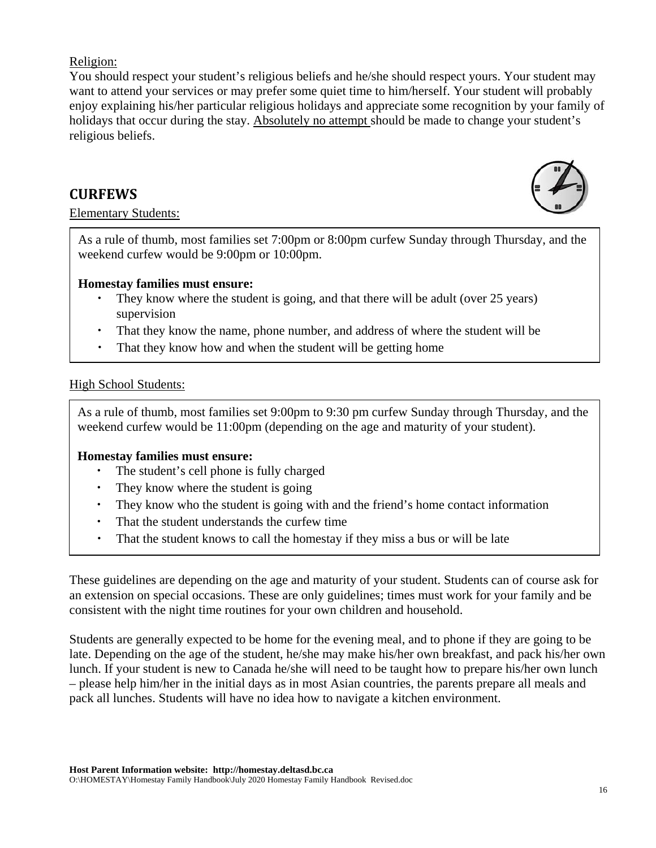#### Religion:

You should respect your student's religious beliefs and he/she should respect yours. Your student may want to attend your services or may prefer some quiet time to him/herself. Your student will probably enjoy explaining his/her particular religious holidays and appreciate some recognition by your family of holidays that occur during the stay. Absolutely no attempt should be made to change your student's religious beliefs.

### **CURFEWS**

Elementary Students:

As a rule of thumb, most families set 7:00pm or 8:00pm curfew Sunday through Thursday, and the weekend curfew would be 9:00pm or 10:00pm.

#### **Homestay families must ensure:**

- They know where the student is going, and that there will be adult (over 25 years) supervision
- That they know the name, phone number, and address of where the student will be
- That they know how and when the student will be getting home

#### High School Students:

As a rule of thumb, most families set 9:00pm to 9:30 pm curfew Sunday through Thursday, and the weekend curfew would be 11:00pm (depending on the age and maturity of your student).

#### **Homestay families must ensure:**

- The student's cell phone is fully charged
- They know where the student is going
- They know who the student is going with and the friend's home contact information
- That the student understands the curfew time
- That the student knows to call the homestay if they miss a bus or will be late

These guidelines are depending on the age and maturity of your student. Students can of course ask for an extension on special occasions. These are only guidelines; times must work for your family and be consistent with the night time routines for your own children and household.

Students are generally expected to be home for the evening meal, and to phone if they are going to be late. Depending on the age of the student, he/she may make his/her own breakfast, and pack his/her own lunch. If your student is new to Canada he/she will need to be taught how to prepare his/her own lunch – please help him/her in the initial days as in most Asian countries, the parents prepare all meals and pack all lunches. Students will have no idea how to navigate a kitchen environment.

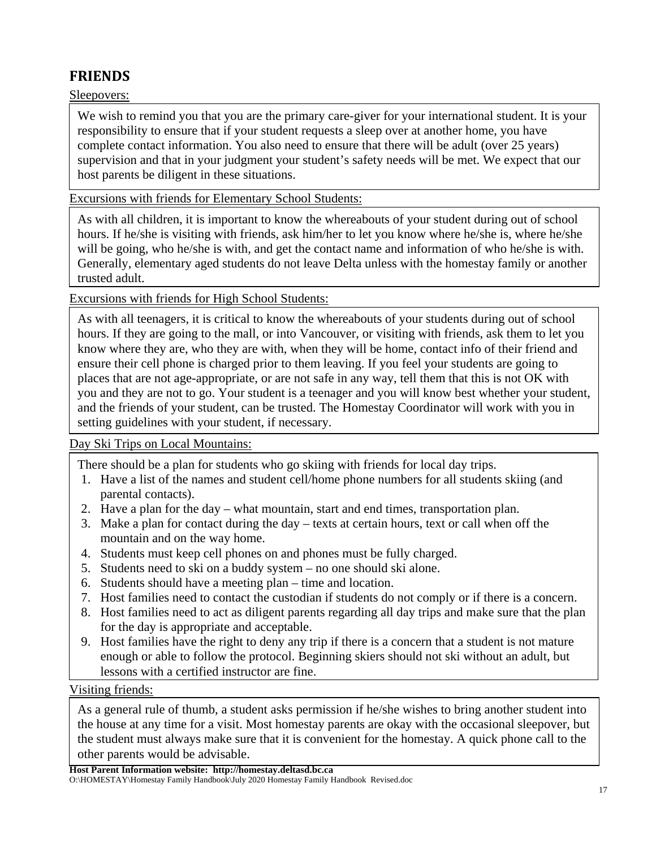## **FRIENDS**

Sleepovers:

We wish to remind you that you are the primary care-giver for your international student. It is your responsibility to ensure that if your student requests a sleep over at another home, you have complete contact information. You also need to ensure that there will be adult (over 25 years) supervision and that in your judgment your student's safety needs will be met. We expect that our host parents be diligent in these situations.

Excursions with friends for Elementary School Students:

As with all children, it is important to know the whereabouts of your student during out of school hours. If he/she is visiting with friends, ask him/her to let you know where he/she is, where he/she will be going, who he/she is with, and get the contact name and information of who he/she is with. Generally, elementary aged students do not leave Delta unless with the homestay family or another trusted adult.

Excursions with friends for High School Students:

As with all teenagers, it is critical to know the whereabouts of your students during out of school hours. If they are going to the mall, or into Vancouver, or visiting with friends, ask them to let you know where they are, who they are with, when they will be home, contact info of their friend and ensure their cell phone is charged prior to them leaving. If you feel your students are going to places that are not age-appropriate, or are not safe in any way, tell them that this is not OK with you and they are not to go. Your student is a teenager and you will know best whether your student, and the friends of your student, can be trusted. The Homestay Coordinator will work with you in setting guidelines with your student, if necessary.

Day Ski Trips on Local Mountains:

There should be a plan for students who go skiing with friends for local day trips.

- 1. Have a list of the names and student cell/home phone numbers for all students skiing (and parental contacts).
- 2. Have a plan for the day what mountain, start and end times, transportation plan.
- 3. Make a plan for contact during the day texts at certain hours, text or call when off the mountain and on the way home.
- 4. Students must keep cell phones on and phones must be fully charged.
- 5. Students need to ski on a buddy system no one should ski alone.
- 6. Students should have a meeting plan time and location.
- 7. Host families need to contact the custodian if students do not comply or if there is a concern.
- 8. Host families need to act as diligent parents regarding all day trips and make sure that the plan for the day is appropriate and acceptable.
- 9. Host families have the right to deny any trip if there is a concern that a student is not mature enough or able to follow the protocol. Beginning skiers should not ski without an adult, but lessons with a certified instructor are fine.

Visiting friends:

As a general rule of thumb, a student asks permission if he/she wishes to bring another student into the house at any time for a visit. Most homestay parents are okay with the occasional sleepover, but the student must always make sure that it is convenient for the homestay. A quick phone call to the other parents would be advisable.

**Host Parent Information website: http://homestay.deltasd.bc.ca**  O:\HOMESTAY\Homestay Family Handbook\July 2020 Homestay Family Handbook Revised.doc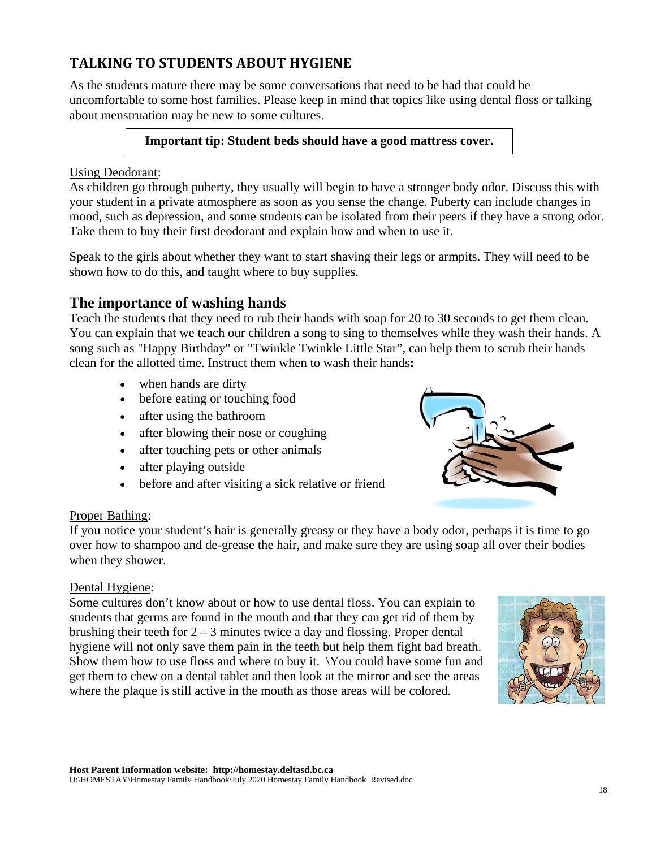## **TALKING TO STUDENTS ABOUT HYGIENE**

As the students mature there may be some conversations that need to be had that could be uncomfortable to some host families. Please keep in mind that topics like using dental floss or talking about menstruation may be new to some cultures.

#### **Important tip: Student beds should have a good mattress cover.**

#### Using Deodorant:

As children go through puberty, they usually will begin to have a stronger body odor. Discuss this with your student in a private atmosphere as soon as you sense the change. Puberty can include changes in mood, such as depression, and some students can be isolated from their peers if they have a strong odor. Take them to buy their first deodorant and explain how and when to use it.

Speak to the girls about whether they want to start shaving their legs or armpits. They will need to be shown how to do this, and taught where to buy supplies.

### **The importance of washing hands**

Teach the students that they need to rub their hands with soap for 20 to 30 seconds to get them clean. You can explain that we teach our children a song to sing to themselves while they wash their hands. A song such as "Happy Birthday" or "Twinkle Twinkle Little Star", can help them to scrub their hands clean for the allotted time. Instruct them when to wash their hands**:** 

- when hands are dirty
- before eating or touching food
- after using the bathroom
- after blowing their nose or coughing
- after touching pets or other animals
- after playing outside
- before and after visiting a sick relative or friend

#### Proper Bathing:

If you notice your student's hair is generally greasy or they have a body odor, perhaps it is time to go over how to shampoo and de-grease the hair, and make sure they are using soap all over their bodies when they shower.

#### Dental Hygiene:

Some cultures don't know about or how to use dental floss. You can explain to students that germs are found in the mouth and that they can get rid of them by brushing their teeth for  $2 - 3$  minutes twice a day and flossing. Proper dental hygiene will not only save them pain in the teeth but help them fight bad breath. Show them how to use floss and where to buy it. \You could have some fun and get them to chew on a dental tablet and then look at the mirror and see the areas where the plaque is still active in the mouth as those areas will be colored.



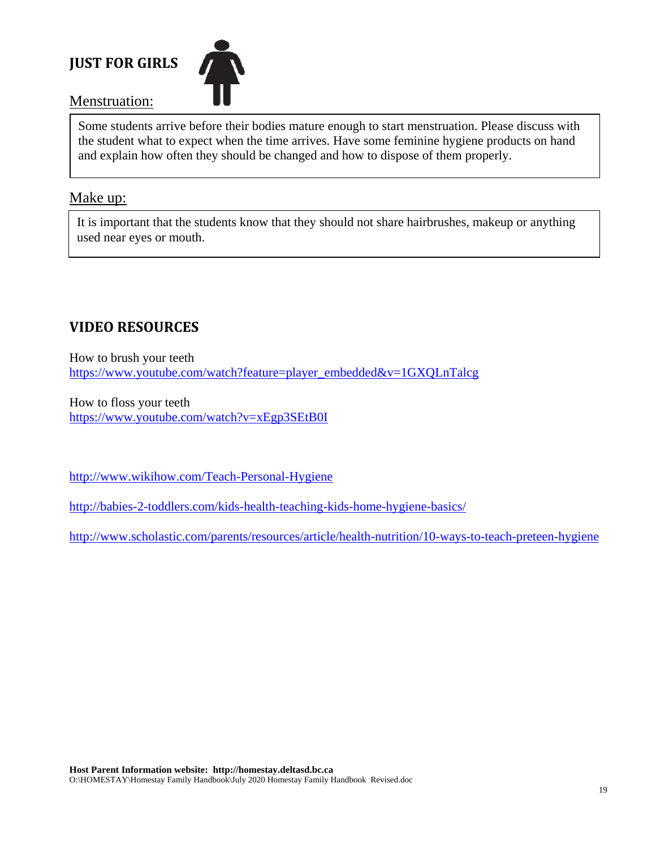## **JUST FOR GIRLS**



#### Menstruation:

Some students arrive before their bodies mature enough to start menstruation. Please discuss with the student what to expect when the time arrives. Have some feminine hygiene products on hand and explain how often they should be changed and how to dispose of them properly.

### Make up:

It is important that the students know that they should not share hairbrushes, makeup or anything used near eyes or mouth.

## **VIDEO RESOURCES**

How to brush your teeth https://www.youtube.com/watch?feature=player\_embedded&v=1GXQLnTalcg

How to floss your teeth https://www.youtube.com/watch?v=xEgp3SEtB0I

http://www.wikihow.com/Teach-Personal-Hygiene

http://babies-2-toddlers.com/kids-health-teaching-kids-home-hygiene-basics/

http://www.scholastic.com/parents/resources/article/health-nutrition/10-ways-to-teach-preteen-hygiene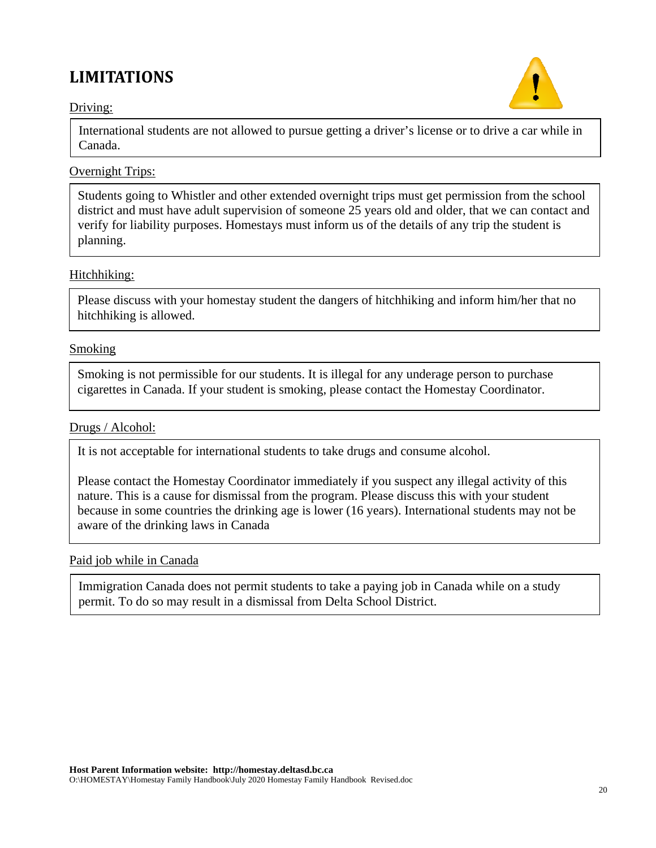## **LIMITATIONS**



#### Driving:

International students are not allowed to pursue getting a driver's license or to drive a car while in Canada.

#### Overnight Trips:

Students going to Whistler and other extended overnight trips must get permission from the school district and must have adult supervision of someone 25 years old and older, that we can contact and verify for liability purposes. Homestays must inform us of the details of any trip the student is planning.

#### Hitchhiking:

Please discuss with your homestay student the dangers of hitchhiking and inform him/her that no hitchhiking is allowed.

#### Smoking

Smoking is not permissible for our students. It is illegal for any underage person to purchase cigarettes in Canada. If your student is smoking, please contact the Homestay Coordinator.

#### Drugs / Alcohol:

It is not acceptable for international students to take drugs and consume alcohol.

Please contact the Homestay Coordinator immediately if you suspect any illegal activity of this nature. This is a cause for dismissal from the program. Please discuss this with your student because in some countries the drinking age is lower (16 years). International students may not be aware of the drinking laws in Canada

#### Paid job while in Canada

Immigration Canada does not permit students to take a paying job in Canada while on a study permit. To do so may result in a dismissal from Delta School District.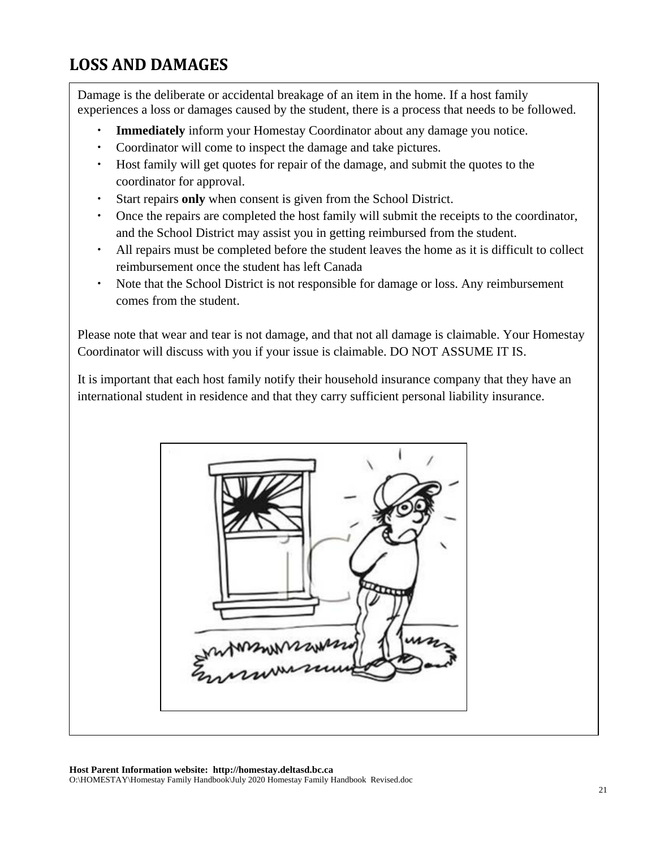## **LOSS AND DAMAGES**

Damage is the deliberate or accidental breakage of an item in the home. If a host family experiences a loss or damages caused by the student, there is a process that needs to be followed.

- **Immediately** inform your Homestay Coordinator about any damage you notice.
- Coordinator will come to inspect the damage and take pictures.
- Host family will get quotes for repair of the damage, and submit the quotes to the coordinator for approval.
- Start repairs **only** when consent is given from the School District.
- Once the repairs are completed the host family will submit the receipts to the coordinator, and the School District may assist you in getting reimbursed from the student.
- All repairs must be completed before the student leaves the home as it is difficult to collect reimbursement once the student has left Canada
- Note that the School District is not responsible for damage or loss. Any reimbursement comes from the student.

Please note that wear and tear is not damage, and that not all damage is claimable. Your Homestay Coordinator will discuss with you if your issue is claimable. DO NOT ASSUME IT IS.

It is important that each host family notify their household insurance company that they have an international student in residence and that they carry sufficient personal liability insurance.

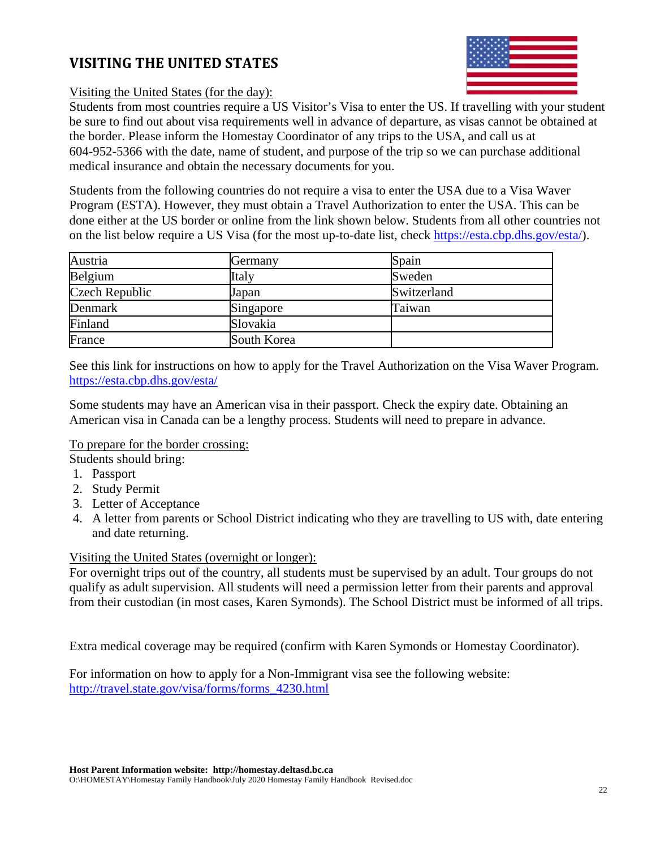## **VISITING THE UNITED STATES**



#### Visiting the United States (for the day):

Students from most countries require a US Visitor's Visa to enter the US. If travelling with your student be sure to find out about visa requirements well in advance of departure, as visas cannot be obtained at the border. Please inform the Homestay Coordinator of any trips to the USA, and call us at 604-952-5366 with the date, name of student, and purpose of the trip so we can purchase additional medical insurance and obtain the necessary documents for you.

Students from the following countries do not require a visa to enter the USA due to a Visa Waver Program (ESTA). However, they must obtain a Travel Authorization to enter the USA. This can be done either at the US border or online from the link shown below. Students from all other countries not on the list below require a US Visa (for the most up-to-date list, check https://esta.cbp.dhs.gov/esta/).

| Austria        | Germany     | Spain       |
|----------------|-------------|-------------|
| Belgium        | Italy       | Sweden      |
| Czech Republic | Japan       | Switzerland |
| Denmark        | Singapore   | Taiwan      |
| Finland        | Slovakia    |             |
| France         | South Korea |             |

See this link for instructions on how to apply for the Travel Authorization on the Visa Waver Program. https://esta.cbp.dhs.gov/esta/

Some students may have an American visa in their passport. Check the expiry date. Obtaining an American visa in Canada can be a lengthy process. Students will need to prepare in advance.

#### To prepare for the border crossing:

Students should bring:

- 1. Passport
- 2. Study Permit
- 3. Letter of Acceptance
- 4. A letter from parents or School District indicating who they are travelling to US with, date entering and date returning.

#### Visiting the United States (overnight or longer):

For overnight trips out of the country, all students must be supervised by an adult. Tour groups do not qualify as adult supervision. All students will need a permission letter from their parents and approval from their custodian (in most cases, Karen Symonds). The School District must be informed of all trips.

Extra medical coverage may be required (confirm with Karen Symonds or Homestay Coordinator).

For information on how to apply for a Non-Immigrant visa see the following website: http://travel.state.gov/visa/forms/forms\_4230.html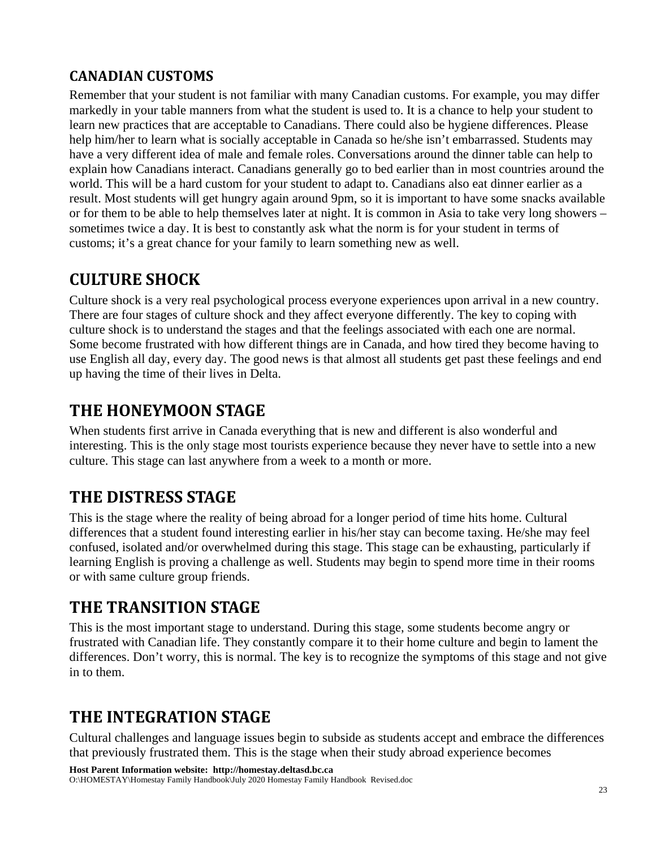## **CANADIAN CUSTOMS**

Remember that your student is not familiar with many Canadian customs. For example, you may differ markedly in your table manners from what the student is used to. It is a chance to help your student to learn new practices that are acceptable to Canadians. There could also be hygiene differences. Please help him/her to learn what is socially acceptable in Canada so he/she isn't embarrassed. Students may have a very different idea of male and female roles. Conversations around the dinner table can help to explain how Canadians interact. Canadians generally go to bed earlier than in most countries around the world. This will be a hard custom for your student to adapt to. Canadians also eat dinner earlier as a result. Most students will get hungry again around 9pm, so it is important to have some snacks available or for them to be able to help themselves later at night. It is common in Asia to take very long showers – sometimes twice a day. It is best to constantly ask what the norm is for your student in terms of customs; it's a great chance for your family to learn something new as well.

## **CULTURE SHOCK**

Culture shock is a very real psychological process everyone experiences upon arrival in a new country. There are four stages of culture shock and they affect everyone differently. The key to coping with culture shock is to understand the stages and that the feelings associated with each one are normal. Some become frustrated with how different things are in Canada, and how tired they become having to use English all day, every day. The good news is that almost all students get past these feelings and end up having the time of their lives in Delta.

## **THE HONEYMOON STAGE**

When students first arrive in Canada everything that is new and different is also wonderful and interesting. This is the only stage most tourists experience because they never have to settle into a new culture. This stage can last anywhere from a week to a month or more.

## **THE DISTRESS STAGE**

This is the stage where the reality of being abroad for a longer period of time hits home. Cultural differences that a student found interesting earlier in his/her stay can become taxing. He/she may feel confused, isolated and/or overwhelmed during this stage. This stage can be exhausting, particularly if learning English is proving a challenge as well. Students may begin to spend more time in their rooms or with same culture group friends.

## **THE TRANSITION STAGE**

This is the most important stage to understand. During this stage, some students become angry or frustrated with Canadian life. They constantly compare it to their home culture and begin to lament the differences. Don't worry, this is normal. The key is to recognize the symptoms of this stage and not give in to them.

## **THE INTEGRATION STAGE**

Cultural challenges and language issues begin to subside as students accept and embrace the differences that previously frustrated them. This is the stage when their study abroad experience becomes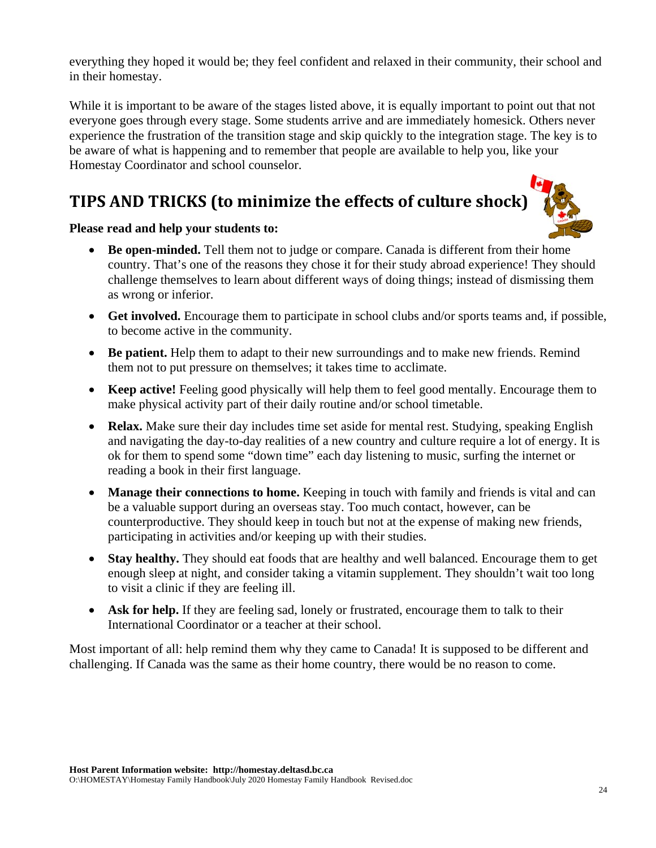everything they hoped it would be; they feel confident and relaxed in their community, their school and in their homestay.

While it is important to be aware of the stages listed above, it is equally important to point out that not everyone goes through every stage. Some students arrive and are immediately homesick. Others never experience the frustration of the transition stage and skip quickly to the integration stage. The key is to be aware of what is happening and to remember that people are available to help you, like your Homestay Coordinator and school counselor.

## **TIPS AND TRICKS (to minimize the effects of culture shock)**



#### **Please read and help your students to:**

- **Be open-minded.** Tell them not to judge or compare. Canada is different from their home country. That's one of the reasons they chose it for their study abroad experience! They should challenge themselves to learn about different ways of doing things; instead of dismissing them as wrong or inferior.
- **Get involved.** Encourage them to participate in school clubs and/or sports teams and, if possible, to become active in the community.
- **Be patient.** Help them to adapt to their new surroundings and to make new friends. Remind them not to put pressure on themselves; it takes time to acclimate.
- **Keep active!** Feeling good physically will help them to feel good mentally. Encourage them to make physical activity part of their daily routine and/or school timetable.
- **Relax.** Make sure their day includes time set aside for mental rest. Studying, speaking English and navigating the day-to-day realities of a new country and culture require a lot of energy. It is ok for them to spend some "down time" each day listening to music, surfing the internet or reading a book in their first language.
- **Manage their connections to home.** Keeping in touch with family and friends is vital and can be a valuable support during an overseas stay. Too much contact, however, can be counterproductive. They should keep in touch but not at the expense of making new friends, participating in activities and/or keeping up with their studies.
- **Stay healthy.** They should eat foods that are healthy and well balanced. Encourage them to get enough sleep at night, and consider taking a vitamin supplement. They shouldn't wait too long to visit a clinic if they are feeling ill.
- Ask for help. If they are feeling sad, lonely or frustrated, encourage them to talk to their International Coordinator or a teacher at their school.

Most important of all: help remind them why they came to Canada! It is supposed to be different and challenging. If Canada was the same as their home country, there would be no reason to come.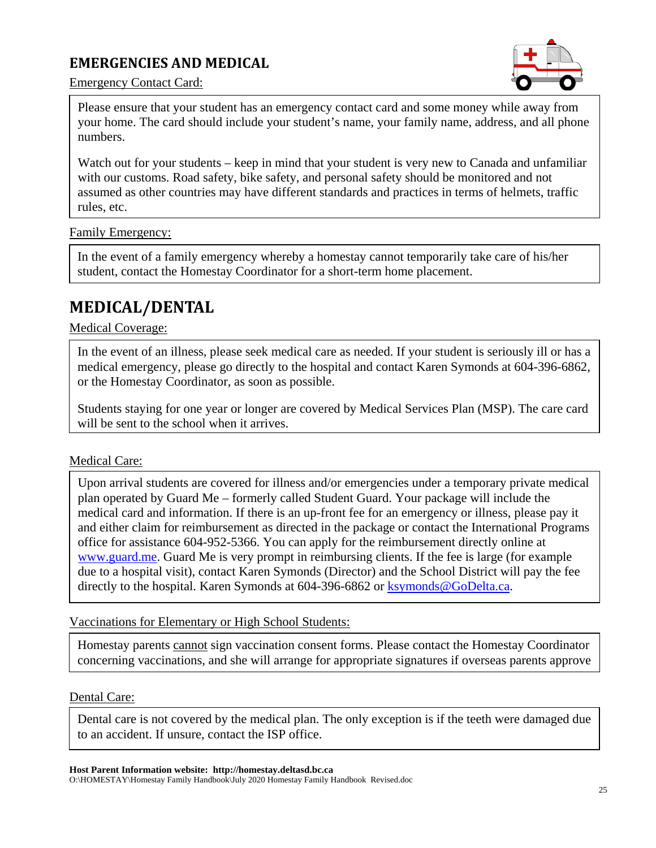### **EMERGENCIES AND MEDICAL**



Emergency Contact Card:

Please ensure that your student has an emergency contact card and some money while away from your home. The card should include your student's name, your family name, address, and all phone numbers.

**Watch out for your students – keep in mind that your student is very new to Canada and unfamiliar** with our customs. Road safety, bike safety, and personal safety should be monitored and not assumed as other countries may have different standards and practices in terms of helmets, traffic rules, etc.

#### Family Emergency:

In the event of a family emergency whereby a homestay cannot temporarily take care of his/her student, contact the Homestay Coordinator for a short-term home placement.

## **MEDICAL/DENTAL**

#### Medical Coverage:

In the event of an illness, please seek medical care as needed. If your student is seriously ill or has a medical emergency, please go directly to the hospital and contact Karen Symonds at 604-396-6862, or the Homestay Coordinator, as soon as possible.

Students staying for one year or longer are covered by Medical Services Plan (MSP). The care card will be sent to the school when it arrives.

#### Medical Care:

www.guard.nic. Guard Me is very prompt in remionising chemis. If the fee is farge (for example due to a hospital visit), contact Karen Symonds (Director) and the School District will pay the fee Upon arrival students are covered for illness and/or emergencies under a temporary private medical plan operated by Guard Me – formerly called Student Guard. Your package will include the medical card and information. If there is an up-front fee for an emergency or illness, please pay it and either claim for reimbursement as directed in the package or contact the International Programs office for assistance 604-952-5366. You can apply for the reimbursement directly online at www.guard.me. Guard Me is very prompt in reimbursing clients. If the fee is large (for example directly to the hospital. Karen Symonds at 604-396-6862 or ksymonds@GoDelta.ca.

Vaccinations for Elementary or High School Students:

Homestay parents cannot sign vaccination consent forms. Please contact the Homestay Coordinator concerning vaccinations, and she will arrange for appropriate signatures if overseas parents approve

#### Dental Care:

Dental care is not covered by the medical plan. The only exception is if the teeth were damaged due to an accident. If unsure, contact the ISP office.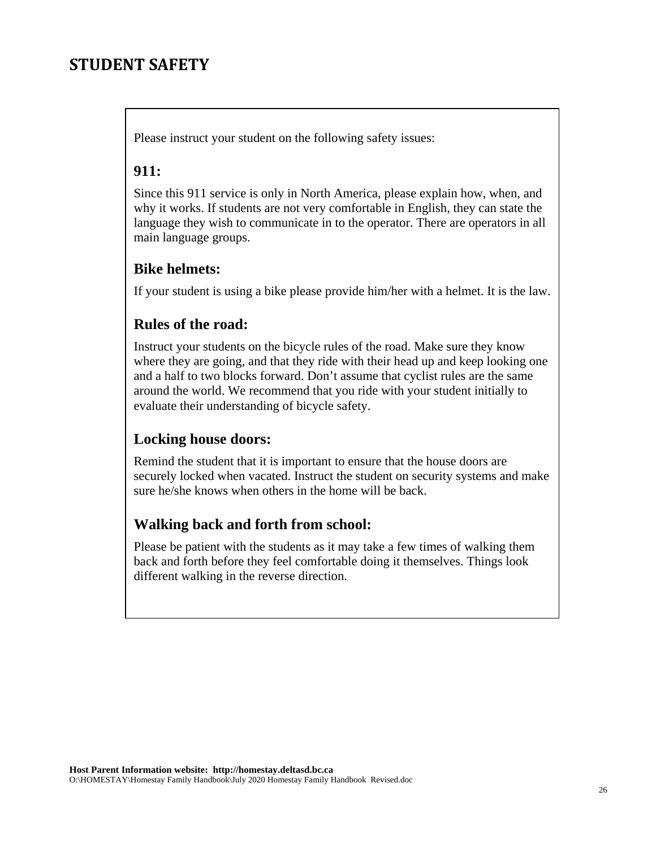## **STUDENT SAFETY**

Please instruct your student on the following safety issues:

#### **911:**

Since this 911 service is only in North America, please explain how, when, and why it works. If students are not very comfortable in English, they can state the language they wish to communicate in to the operator. There are operators in all main language groups.

#### **Bike helmets:**

If your student is using a bike please provide him/her with a helmet. It is the law.

### **Rules of the road:**

Instruct your students on the bicycle rules of the road. Make sure they know where they are going, and that they ride with their head up and keep looking one and a half to two blocks forward. Don't assume that cyclist rules are the same around the world. We recommend that you ride with your student initially to evaluate their understanding of bicycle safety.

#### **Locking house doors:**

Remind the student that it is important to ensure that the house doors are securely locked when vacated. Instruct the student on security systems and make sure he/she knows when others in the home will be back.

#### **Walking back and forth from school:**

Please be patient with the students as it may take a few times of walking them back and forth before they feel comfortable doing it themselves. Things look different walking in the reverse direction.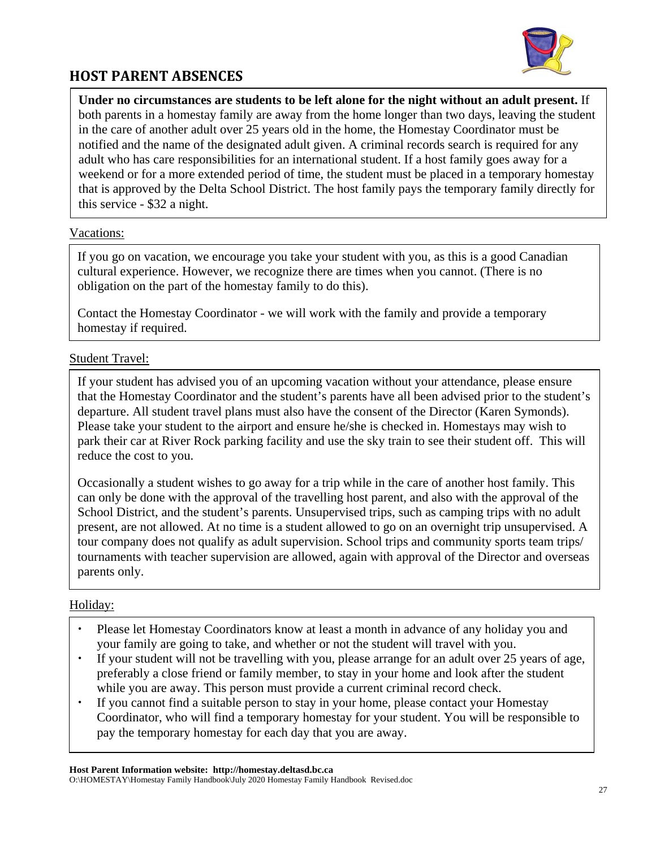

### **HOST PARENT ABSENCES**

**Under no circumstances are students to be left alone for the night without an adult present.** If both parents in a homestay family are away from the home longer than two days, leaving the student in the care of another adult over 25 years old in the home, the Homestay Coordinator must be notified and the name of the designated adult given. A criminal records search is required for any adult who has care responsibilities for an international student. If a host family goes away for a weekend or for a more extended period of time, the student must be placed in a temporary homestay that is approved by the Delta School District. The host family pays the temporary family directly for this service - \$32 a night.

#### Vacations:

If you go on vacation, we encourage you take your student with you, as this is a good Canadian cultural experience. However, we recognize there are times when you cannot. (There is no obligation on the part of the homestay family to do this).

Contact the Homestay Coordinator - we will work with the family and provide a temporary homestay if required.

#### Student Travel:

If your student has advised you of an upcoming vacation without your attendance, please ensure that the Homestay Coordinator and the student's parents have all been advised prior to the student's departure. All student travel plans must also have the consent of the Director (Karen Symonds). Please take your student to the airport and ensure he/she is checked in. Homestays may wish to park their car at River Rock parking facility and use the sky train to see their student off. This will reduce the cost to you.

Occasionally a student wishes to go away for a trip while in the care of another host family. This can only be done with the approval of the travelling host parent, and also with the approval of the School District, and the student's parents. Unsupervised trips, such as camping trips with no adult present, are not allowed. At no time is a student allowed to go on an overnight trip unsupervised. A tour company does not qualify as adult supervision. School trips and community sports team trips/ tournaments with teacher supervision are allowed, again with approval of the Director and overseas parents only.

#### Holiday:

- Please let Homestay Coordinators know at least a month in advance of any holiday you and your family are going to take, and whether or not the student will travel with you.
- If your student will not be travelling with you, please arrange for an adult over 25 years of age, preferably a close friend or family member, to stay in your home and look after the student while you are away. This person must provide a current criminal record check.
- **FEES EXECUTE:** Coordinator, who will find a temporary homestay for your student. You will be responsible to If you cannot find a suitable person to stay in your home, please contact your Homestay pay the temporary homestay for each day that you are away.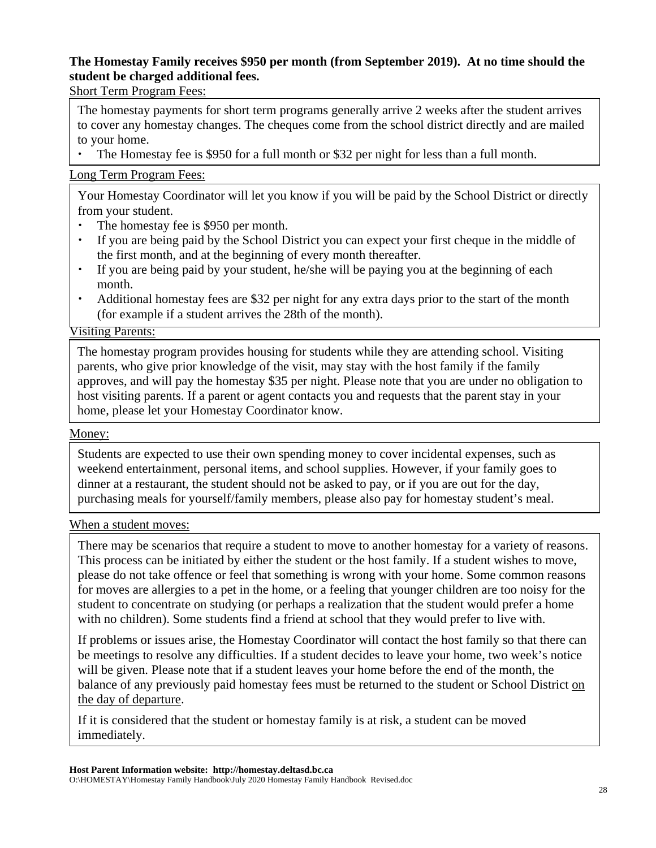#### **The Homestay Family receives \$950 per month (from September 2019). At no time should the student be charged additional fees.**

Short Term Program Fees:

The homestay payments for short term programs generally arrive 2 weeks after the student arrives to cover any homestay changes. The cheques come from the school district directly and are mailed to your home.

The Homestay fee is \$950 for a full month or \$32 per night for less than a full month.

#### Long Term Program Fees:

Your Homestay Coordinator will let you know if you will be paid by the School District or directly from your student.

- The homestay fee is \$950 per month.
- If you are being paid by the School District you can expect your first cheque in the middle of the first month, and at the beginning of every month thereafter.
- If you are being paid by your student, he/she will be paying you at the beginning of each month.
- Additional homestay fees are \$32 per night for any extra days prior to the start of the month (for example if a student arrives the 28th of the month).

#### Visiting Parents:

The homestay program provides housing for students while they are attending school. Visiting parents, who give prior knowledge of the visit, may stay with the host family if the family approves, and will pay the homestay \$35 per night. Please note that you are under no obligation to host visiting parents. If a parent or agent contacts you and requests that the parent stay in your home, please let your Homestay Coordinator know.

#### Money:

Students are expected to use their own spending money to cover incidental expenses, such as weekend entertainment, personal items, and school supplies. However, if your family goes to dinner at a restaurant, the student should not be asked to pay, or if you are out for the day, purchasing meals for yourself/family members, please also pay for homestay student's meal.

#### When a student moves:

There may be scenarios that require a student to move to another homestay for a variety of reasons. This process can be initiated by either the student or the host family. If a student wishes to move, please do not take offence or feel that something is wrong with your home. Some common reasons for moves are allergies to a pet in the home, or a feeling that younger children are too noisy for the student to concentrate on studying (or perhaps a realization that the student would prefer a home with no children). Some students find a friend at school that they would prefer to live with.

the day of departure. If problems or issues arise, the Homestay Coordinator will contact the host family so that there can be meetings to resolve any difficulties. If a student decides to leave your home, two week's notice will be given. Please note that if a student leaves your home before the end of the month, the balance of any previously paid homestay fees must be returned to the student or School District on

If it is considered that the student or homestay family is at risk, a student can be moved immediately.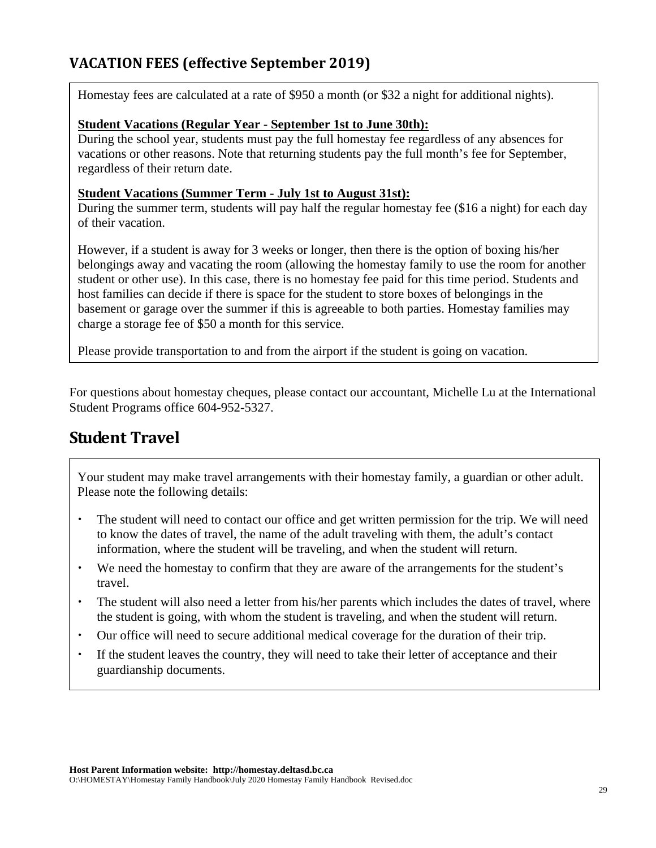## **VACATION FEES (effective September 2019)**

Homestay fees are calculated at a rate of \$950 a month (or \$32 a night for additional nights).

#### **Student Vacations (Regular Year - September 1st to June 30th):**

During the school year, students must pay the full homestay fee regardless of any absences for vacations or other reasons. Note that returning students pay the full month's fee for September, regardless of their return date.

#### **Student Vacations (Summer Term - July 1st to August 31st):**

During the summer term, students will pay half the regular homestay fee (\$16 a night) for each day of their vacation.

However, if a student is away for 3 weeks or longer, then there is the option of boxing his/her belongings away and vacating the room (allowing the homestay family to use the room for another student or other use). In this case, there is no homestay fee paid for this time period. Students and host families can decide if there is space for the student to store boxes of belongings in the basement or garage over the summer if this is agreeable to both parties. Homestay families may charge a storage fee of \$50 a month for this service.

Please provide transportation to and from the airport if the student is going on vacation.

For questions about homestay cheques, please contact our accountant, Michelle Lu at the International Student Programs office 604-952-5327.

## **Student Travel**

Your student may make travel arrangements with their homestay family, a guardian or other adult. Please note the following details:

- The student will need to contact our office and get written permission for the trip. We will need to know the dates of travel, the name of the adult traveling with them, the adult's contact information, where the student will be traveling, and when the student will return.
- We need the homestay to confirm that they are aware of the arrangements for the student's travel.
- The student will also need a letter from his/her parents which includes the dates of travel, where the student is going, with whom the student is traveling, and when the student will return.
- Our office will need to secure additional medical coverage for the duration of their trip.
- If the student leaves the country, they will need to take their letter of acceptance and their guardianship documents.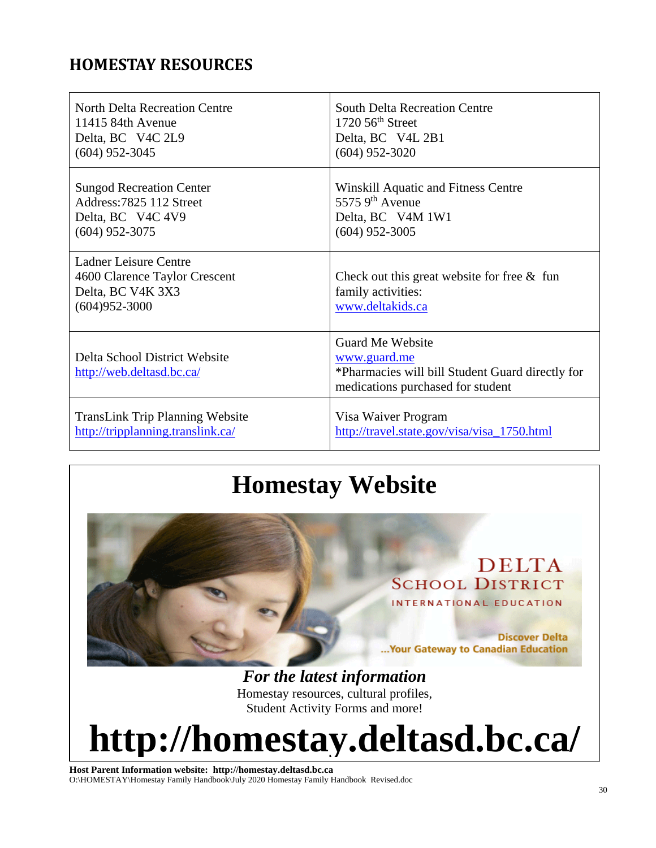## **HOMESTAY RESOURCES**

| <b>North Delta Recreation Centre</b>                                                                    | <b>South Delta Recreation Centre</b>                                                                                      |
|---------------------------------------------------------------------------------------------------------|---------------------------------------------------------------------------------------------------------------------------|
| 11415 84th Avenue                                                                                       | $1720\,56$ <sup>th</sup> Street                                                                                           |
| Delta, BC V4C 2L9                                                                                       | Delta, BC V4L 2B1                                                                                                         |
| $(604)$ 952-3045                                                                                        | $(604)$ 952-3020                                                                                                          |
| <b>Sungod Recreation Center</b>                                                                         | Winskill Aquatic and Fitness Centre                                                                                       |
| Address: 7825 112 Street                                                                                | 5575 $9th$ Avenue                                                                                                         |
| Delta, BC V4C 4V9                                                                                       | Delta, BC V4M 1W1                                                                                                         |
| $(604)$ 952-3075                                                                                        | $(604)$ 952-3005                                                                                                          |
| <b>Ladner Leisure Centre</b><br>4600 Clarence Taylor Crescent<br>Delta, BC V4K 3X3<br>$(604)952 - 3000$ | Check out this great website for free $\&$ fun<br>family activities:<br>www.deltakids.ca                                  |
| Delta School District Website<br>http://web.deltasd.bc.ca/                                              | Guard Me Website<br>www.guard.me<br>*Pharmacies will bill Student Guard directly for<br>medications purchased for student |
| <b>TransLink Trip Planning Website</b>                                                                  | Visa Waiver Program                                                                                                       |
| http://tripplanning.translink.ca/                                                                       | http://travel.state.gov/visa/visa_1750.html                                                                               |

## **Homestay Website**

## **DELTA SCHOOL DISTRICT** INTERNATIONAL EDUCATION

**Discover Delta** ... Your Gateway to Canadian Education

*For the latest information*  Homestay resources, cultural profiles, Student Activity Forms and more!

# **http://homestay.deltasd.bc.ca/**

**Host Parent Information website: http://homestay.deltasd.bc.ca**  O:\HOMESTAY\Homestay Family Handbook\July 2020 Homestay Family Handbook Revised.doc